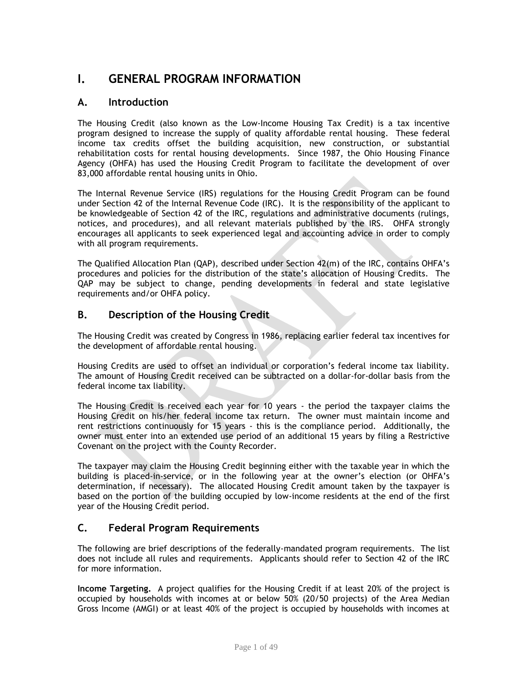# **I. GENERAL PROGRAM INFORMATION**

# **A. Introduction**

The Housing Credit (also known as the Low-Income Housing Tax Credit) is a tax incentive program designed to increase the supply of quality affordable rental housing. These federal income tax credits offset the building acquisition, new construction, or substantial rehabilitation costs for rental housing developments. Since 1987, the Ohio Housing Finance Agency (OHFA) has used the Housing Credit Program to facilitate the development of over 83,000 affordable rental housing units in Ohio.

The Internal Revenue Service (IRS) regulations for the Housing Credit Program can be found under Section 42 of the Internal Revenue Code (IRC). It is the responsibility of the applicant to be knowledgeable of Section 42 of the IRC, regulations and administrative documents (rulings, notices, and procedures), and all relevant materials published by the IRS. OHFA strongly encourages all applicants to seek experienced legal and accounting advice in order to comply with all program requirements.

The Qualified Allocation Plan (QAP), described under Section 42(m) of the IRC, contains OHFA's procedures and policies for the distribution of the state's allocation of Housing Credits. The QAP may be subject to change, pending developments in federal and state legislative requirements and/or OHFA policy.

# **B. Description of the Housing Credit**

The Housing Credit was created by Congress in 1986, replacing earlier federal tax incentives for the development of affordable rental housing.

Housing Credits are used to offset an individual or corporation's federal income tax liability. The amount of Housing Credit received can be subtracted on a dollar-for-dollar basis from the federal income tax liability.

The Housing Credit is received each year for 10 years - the period the taxpayer claims the Housing Credit on his/her federal income tax return. The owner must maintain income and rent restrictions continuously for 15 years - this is the compliance period. Additionally, the owner must enter into an extended use period of an additional 15 years by filing a Restrictive Covenant on the project with the County Recorder.

The taxpayer may claim the Housing Credit beginning either with the taxable year in which the building is placed-in-service, or in the following year at the owner's election (or OHFA's determination, if necessary). The allocated Housing Credit amount taken by the taxpayer is based on the portion of the building occupied by low-income residents at the end of the first year of the Housing Credit period.

# **C. Federal Program Requirements**

The following are brief descriptions of the federally-mandated program requirements. The list does not include all rules and requirements. Applicants should refer to Section 42 of the IRC for more information.

**Income Targeting.** A project qualifies for the Housing Credit if at least 20% of the project is occupied by households with incomes at or below 50% (20/50 projects) of the Area Median Gross Income (AMGI) or at least 40% of the project is occupied by households with incomes at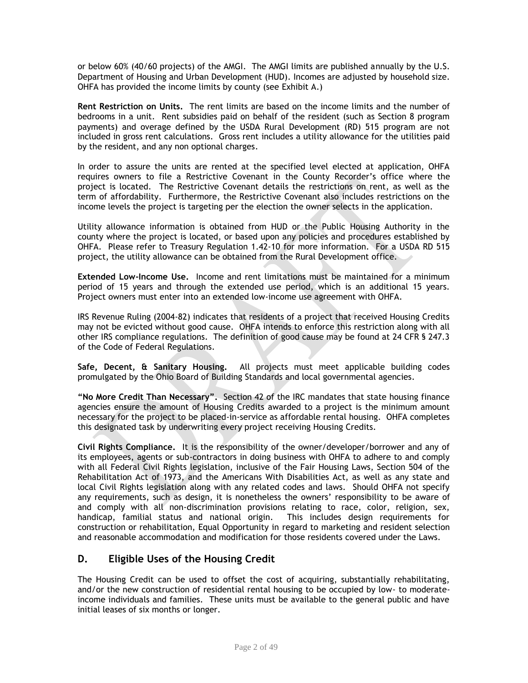or below 60% (40/60 projects) of the AMGI. The AMGI limits are published annually by the U.S. Department of Housing and Urban Development (HUD). Incomes are adjusted by household size. OHFA has provided the income limits by county (see Exhibit A.)

**Rent Restriction on Units.** The rent limits are based on the income limits and the number of bedrooms in a unit. Rent subsidies paid on behalf of the resident (such as Section 8 program payments) and overage defined by the USDA Rural Development (RD) 515 program are not included in gross rent calculations. Gross rent includes a utility allowance for the utilities paid by the resident, and any non optional charges.

In order to assure the units are rented at the specified level elected at application, OHFA requires owners to file a Restrictive Covenant in the County Recorder's office where the project is located. The Restrictive Covenant details the restrictions on rent, as well as the term of affordability. Furthermore, the Restrictive Covenant also includes restrictions on the income levels the project is targeting per the election the owner selects in the application.

Utility allowance information is obtained from HUD or the Public Housing Authority in the county where the project is located, or based upon any policies and procedures established by OHFA. Please refer to Treasury Regulation 1.42-10 for more information. For a USDA RD 515 project, the utility allowance can be obtained from the Rural Development office.

**Extended Low-Income Use.** Income and rent limitations must be maintained for a minimum period of 15 years and through the extended use period, which is an additional 15 years. Project owners must enter into an extended low-income use agreement with OHFA.

IRS Revenue Ruling (2004-82) indicates that residents of a project that received Housing Credits may not be evicted without good cause. OHFA intends to enforce this restriction along with all other IRS compliance regulations. The definition of good cause may be found at 24 CFR § 247.3 of the Code of Federal Regulations.

**Safe, Decent, & Sanitary Housing.** All projects must meet applicable building codes promulgated by the Ohio Board of Building Standards and local governmental agencies.

**"No More Credit Than Necessary".** Section 42 of the IRC mandates that state housing finance agencies ensure the amount of Housing Credits awarded to a project is the minimum amount necessary for the project to be placed-in-service as affordable rental housing. OHFA completes this designated task by underwriting every project receiving Housing Credits.

**Civil Rights Compliance.** It is the responsibility of the owner/developer/borrower and any of its employees, agents or sub-contractors in doing business with OHFA to adhere to and comply with all Federal Civil Rights legislation, inclusive of the Fair Housing Laws, Section 504 of the Rehabilitation Act of 1973, and the Americans With Disabilities Act, as well as any state and local Civil Rights legislation along with any related codes and laws. Should OHFA not specify any requirements, such as design, it is nonetheless the owners' responsibility to be aware of and comply with all non-discrimination provisions relating to race, color, religion, sex, handicap, familial status and national origin. This includes design requirements for construction or rehabilitation, Equal Opportunity in regard to marketing and resident selection and reasonable accommodation and modification for those residents covered under the Laws.

# **D. Eligible Uses of the Housing Credit**

The Housing Credit can be used to offset the cost of acquiring, substantially rehabilitating, and/or the new construction of residential rental housing to be occupied by low- to moderateincome individuals and families. These units must be available to the general public and have initial leases of six months or longer.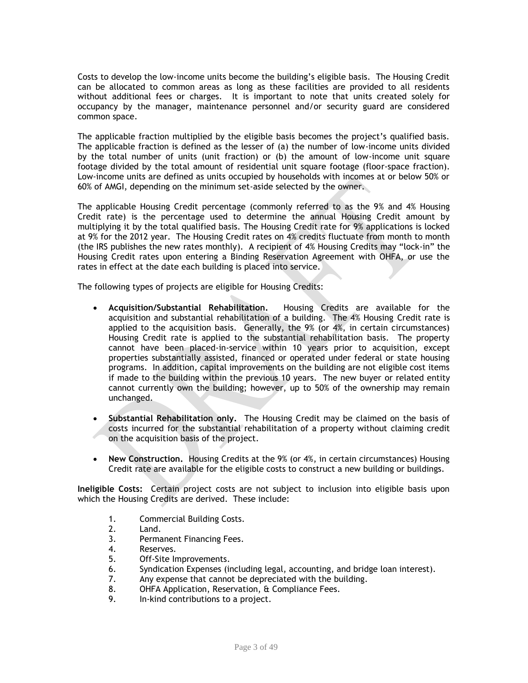Costs to develop the low-income units become the building's eligible basis. The Housing Credit can be allocated to common areas as long as these facilities are provided to all residents without additional fees or charges. It is important to note that units created solely for occupancy by the manager, maintenance personnel and/or security guard are considered common space.

The applicable fraction multiplied by the eligible basis becomes the project's qualified basis. The applicable fraction is defined as the lesser of (a) the number of low-income units divided by the total number of units (unit fraction) or (b) the amount of low-income unit square footage divided by the total amount of residential unit square footage (floor-space fraction). Low-income units are defined as units occupied by households with incomes at or below 50% or 60% of AMGI, depending on the minimum set-aside selected by the owner.

The applicable Housing Credit percentage (commonly referred to as the 9% and 4% Housing Credit rate) is the percentage used to determine the annual Housing Credit amount by multiplying it by the total qualified basis. The Housing Credit rate for 9% applications is locked at 9% for the 2012 year. The Housing Credit rates on 4% credits fluctuate from month to month (the IRS publishes the new rates monthly). A recipient of 4% Housing Credits may "lock-in" the Housing Credit rates upon entering a Binding Reservation Agreement with OHFA, or use the rates in effect at the date each building is placed into service.

The following types of projects are eligible for Housing Credits:

- **Acquisition/Substantial Rehabilitation.** Housing Credits are available for the acquisition and substantial rehabilitation of a building. The 4% Housing Credit rate is applied to the acquisition basis. Generally, the 9% (or 4%, in certain circumstances) Housing Credit rate is applied to the substantial rehabilitation basis. The property cannot have been placed-in-service within 10 years prior to acquisition, except properties substantially assisted, financed or operated under federal or state housing programs. In addition, capital improvements on the building are not eligible cost items if made to the building within the previous 10 years. The new buyer or related entity cannot currently own the building; however, up to 50% of the ownership may remain unchanged.
- **Substantial Rehabilitation only.** The Housing Credit may be claimed on the basis of costs incurred for the substantial rehabilitation of a property without claiming credit on the acquisition basis of the project.
- **New Construction.** Housing Credits at the 9% (or 4%, in certain circumstances) Housing Credit rate are available for the eligible costs to construct a new building or buildings.

**Ineligible Costs:** Certain project costs are not subject to inclusion into eligible basis upon which the Housing Credits are derived. These include:

- 1. Commercial Building Costs.
- 2. Land.
- 3. Permanent Financing Fees.
- 4. Reserves.
- 5. Off-Site Improvements.
- 6. Syndication Expenses (including legal, accounting, and bridge loan interest).
- 7. Any expense that cannot be depreciated with the building.
- 8. OHFA Application, Reservation, & Compliance Fees.
- 9. In-kind contributions to a project.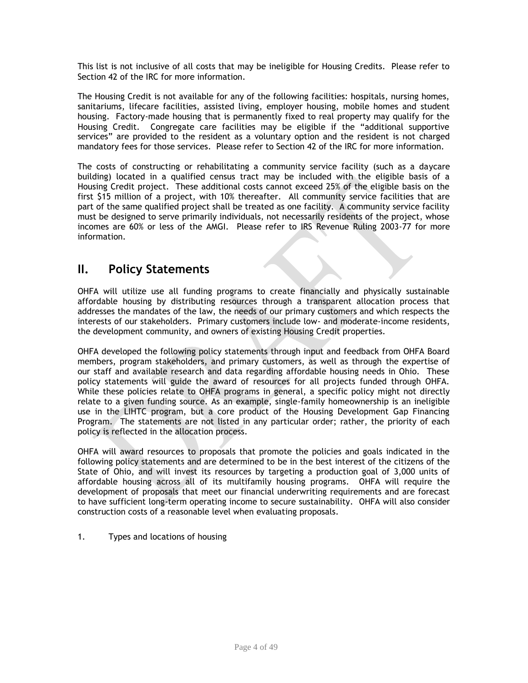This list is not inclusive of all costs that may be ineligible for Housing Credits. Please refer to Section 42 of the IRC for more information.

The Housing Credit is not available for any of the following facilities: hospitals, nursing homes, sanitariums, lifecare facilities, assisted living, employer housing, mobile homes and student housing. Factory-made housing that is permanently fixed to real property may qualify for the Housing Credit. Congregate care facilities may be eligible if the "additional supportive services" are provided to the resident as a voluntary option and the resident is not charged mandatory fees for those services. Please refer to Section 42 of the IRC for more information.

The costs of constructing or rehabilitating a community service facility (such as a daycare building) located in a qualified census tract may be included with the eligible basis of a Housing Credit project. These additional costs cannot exceed 25% of the eligible basis on the first \$15 million of a project, with 10% thereafter. All community service facilities that are part of the same qualified project shall be treated as one facility. A community service facility must be designed to serve primarily individuals, not necessarily residents of the project, whose incomes are 60% or less of the AMGI. Please refer to IRS Revenue Ruling 2003-77 for more information.

# **II. Policy Statements**

OHFA will utilize use all funding programs to create financially and physically sustainable affordable housing by distributing resources through a transparent allocation process that addresses the mandates of the law, the needs of our primary customers and which respects the interests of our stakeholders. Primary customers include low- and moderate-income residents, the development community, and owners of existing Housing Credit properties.

OHFA developed the following policy statements through input and feedback from OHFA Board members, program stakeholders, and primary customers, as well as through the expertise of our staff and available research and data regarding affordable housing needs in Ohio. These policy statements will guide the award of resources for all projects funded through OHFA. While these policies relate to OHFA programs in general, a specific policy might not directly relate to a given funding source. As an example, single-family homeownership is an ineligible use in the LIHTC program, but a core product of the Housing Development Gap Financing Program. The statements are not listed in any particular order; rather, the priority of each policy is reflected in the allocation process.

OHFA will award resources to proposals that promote the policies and goals indicated in the following policy statements and are determined to be in the best interest of the citizens of the State of Ohio, and will invest its resources by targeting a production goal of 3,000 units of affordable housing across all of its multifamily housing programs. OHFA will require the development of proposals that meet our financial underwriting requirements and are forecast to have sufficient long-term operating income to secure sustainability. OHFA will also consider construction costs of a reasonable level when evaluating proposals.

1. Types and locations of housing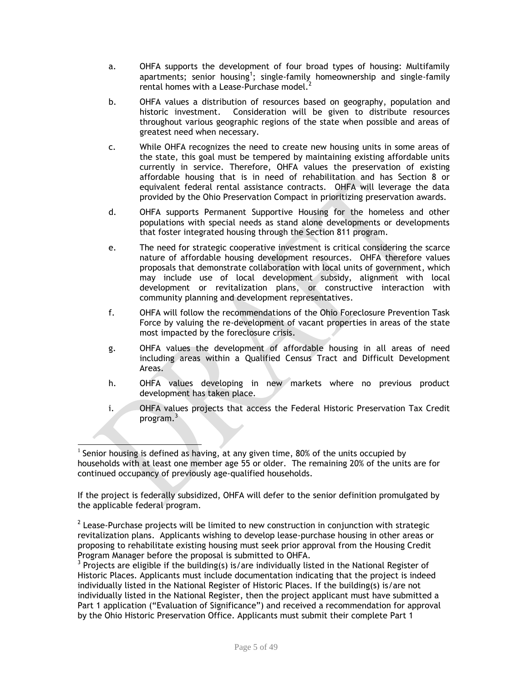- a. OHFA supports the development of four broad types of housing: Multifamily apartments; senior housing<sup>1</sup>; single-family homeownership and single-family rental homes with a Lease-Purchase model.<sup>2</sup>
- b. OHFA values a distribution of resources based on geography, population and historic investment. Consideration will be given to distribute resources throughout various geographic regions of the state when possible and areas of greatest need when necessary.
- c. While OHFA recognizes the need to create new housing units in some areas of the state, this goal must be tempered by maintaining existing affordable units currently in service. Therefore, OHFA values the preservation of existing affordable housing that is in need of rehabilitation and has Section 8 or equivalent federal rental assistance contracts. OHFA will leverage the data provided by the Ohio Preservation Compact in prioritizing preservation awards.
- d. OHFA supports Permanent Supportive Housing for the homeless and other populations with special needs as stand alone developments or developments that foster integrated housing through the Section 811 program.
- e. The need for strategic cooperative investment is critical considering the scarce nature of affordable housing development resources. OHFA therefore values proposals that demonstrate collaboration with local units of government, which may include use of local development subsidy, alignment with local development or revitalization plans, or constructive interaction with community planning and development representatives.
- f. OHFA will follow the recommendations of the Ohio Foreclosure Prevention Task Force by valuing the re-development of vacant properties in areas of the state most impacted by the foreclosure crisis.
- g. OHFA values the development of affordable housing in all areas of need including areas within a Qualified Census Tract and Difficult Development Areas.
- h. OHFA values developing in new markets where no previous product development has taken place.
- i. OHFA values projects that access the Federal Historic Preservation Tax Credit program.<sup>3</sup>

If the project is federally subsidized, OHFA will defer to the senior definition promulgated by the applicable federal program.

 $2$  Lease-Purchase projects will be limited to new construction in conjunction with strategic revitalization plans. Applicants wishing to develop lease-purchase housing in other areas or proposing to rehabilitate existing housing must seek prior approval from the Housing Credit Program Manager before the proposal is submitted to OHFA.

 $3$  Projects are eligible if the building(s) is/are individually listed in the National Register of Historic Places. Applicants must include documentation indicating that the project is indeed individually listed in the National Register of Historic Places. If the building(s) is/are not individually listed in the National Register, then the project applicant must have submitted a Part 1 application ("Evaluation of Significance") and received a recommendation for approval by the Ohio Historic Preservation Office. Applicants must submit their complete Part 1

 $\overline{\phantom{a}}$ <sup>1</sup> Senior housing is defined as having, at any given time, 80% of the units occupied by households with at least one member age 55 or older. The remaining 20% of the units are for continued occupancy of previously age-qualified households.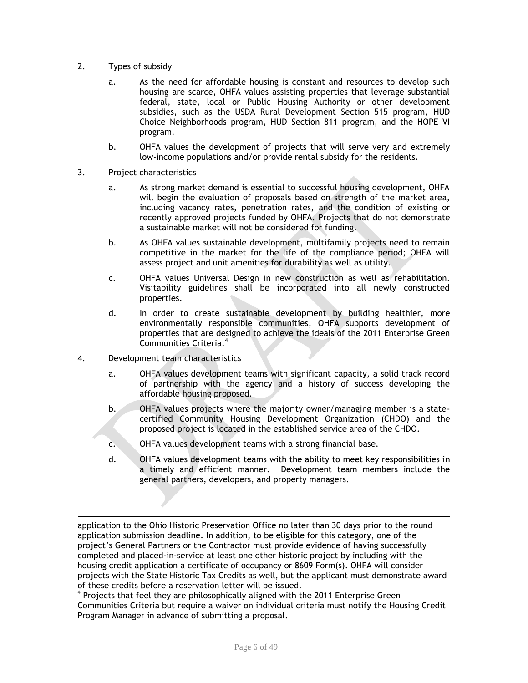- 2. Types of subsidy
	- a. As the need for affordable housing is constant and resources to develop such housing are scarce, OHFA values assisting properties that leverage substantial federal, state, local or Public Housing Authority or other development subsidies, such as the USDA Rural Development Section 515 program, HUD Choice Neighborhoods program, HUD Section 811 program, and the HOPE VI program.
	- b. OHFA values the development of projects that will serve very and extremely low-income populations and/or provide rental subsidy for the residents.
- 3. Project characteristics
	- a. As strong market demand is essential to successful housing development, OHFA will begin the evaluation of proposals based on strength of the market area, including vacancy rates, penetration rates, and the condition of existing or recently approved projects funded by OHFA. Projects that do not demonstrate a sustainable market will not be considered for funding.
	- b. As OHFA values sustainable development, multifamily projects need to remain competitive in the market for the life of the compliance period; OHFA will assess project and unit amenities for durability as well as utility.
	- c. OHFA values Universal Design in new construction as well as rehabilitation. Visitability guidelines shall be incorporated into all newly constructed properties.
	- d. In order to create sustainable development by building healthier, more environmentally responsible communities, OHFA supports development of properties that are designed to achieve the ideals of the 2011 Enterprise Green Communities Criteria. 4
- 4. Development team characteristics

 $\overline{\phantom{a}}$ 

- a. OHFA values development teams with significant capacity, a solid track record of partnership with the agency and a history of success developing the affordable housing proposed.
- b. OHFA values projects where the majority owner/managing member is a statecertified Community Housing Development Organization (CHDO) and the proposed project is located in the established service area of the CHDO.
- c. OHFA values development teams with a strong financial base.
- d. OHFA values development teams with the ability to meet key responsibilities in a timely and efficient manner. Development team members include the general partners, developers, and property managers.

application to the Ohio Historic Preservation Office no later than 30 days prior to the round application submission deadline. In addition, to be eligible for this category, one of the project's General Partners or the Contractor must provide evidence of having successfully completed and placed-in-service at least one other historic project by including with the housing credit application a certificate of occupancy or 8609 Form(s). OHFA will consider projects with the State Historic Tax Credits as well, but the applicant must demonstrate award of these credits before a reservation letter will be issued.

<sup>&</sup>lt;sup>4</sup> Projects that feel they are philosophically aligned with the 2011 Enterprise Green Communities Criteria but require a waiver on individual criteria must notify the Housing Credit Program Manager in advance of submitting a proposal.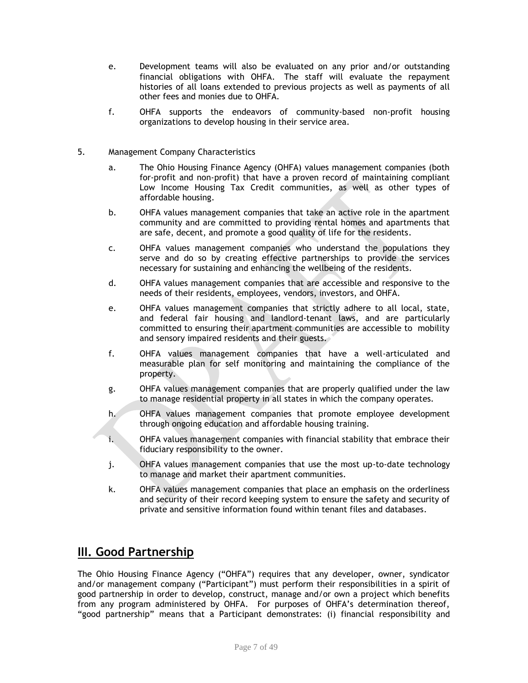- e. Development teams will also be evaluated on any prior and/or outstanding financial obligations with OHFA. The staff will evaluate the repayment histories of all loans extended to previous projects as well as payments of all other fees and monies due to OHFA.
- f. OHFA supports the endeavors of community-based non-profit housing organizations to develop housing in their service area.
- 5. Management Company Characteristics
	- a. The Ohio Housing Finance Agency (OHFA) values management companies (both for-profit and non-profit) that have a proven record of maintaining compliant Low Income Housing Tax Credit communities, as well as other types of affordable housing.
	- b. OHFA values management companies that take an active role in the apartment community and are committed to providing rental homes and apartments that are safe, decent, and promote a good quality of life for the residents.
	- c. OHFA values management companies who understand the populations they serve and do so by creating effective partnerships to provide the services necessary for sustaining and enhancing the wellbeing of the residents.
	- d. OHFA values management companies that are accessible and responsive to the needs of their residents, employees, vendors, investors, and OHFA.
	- e. OHFA values management companies that strictly adhere to all local, state, and federal fair housing and landlord-tenant laws, and are particularly committed to ensuring their apartment communities are accessible to mobility and sensory impaired residents and their guests.
	- f. OHFA values management companies that have a well-articulated and measurable plan for self monitoring and maintaining the compliance of the property.
	- g. OHFA values management companies that are properly qualified under the law to manage residential property in all states in which the company operates.
	- h. OHFA values management companies that promote employee development through ongoing education and affordable housing training.
	- i. OHFA values management companies with financial stability that embrace their fiduciary responsibility to the owner.
	- j. OHFA values management companies that use the most up-to-date technology to manage and market their apartment communities.
	- k. OHFA values management companies that place an emphasis on the orderliness and security of their record keeping system to ensure the safety and security of private and sensitive information found within tenant files and databases.

# **III. Good Partnership**

The Ohio Housing Finance Agency ("OHFA") requires that any developer, owner, syndicator and/or management company ("Participant") must perform their responsibilities in a spirit of good partnership in order to develop, construct, manage and/or own a project which benefits from any program administered by OHFA. For purposes of OHFA's determination thereof, "good partnership" means that a Participant demonstrates: (i) financial responsibility and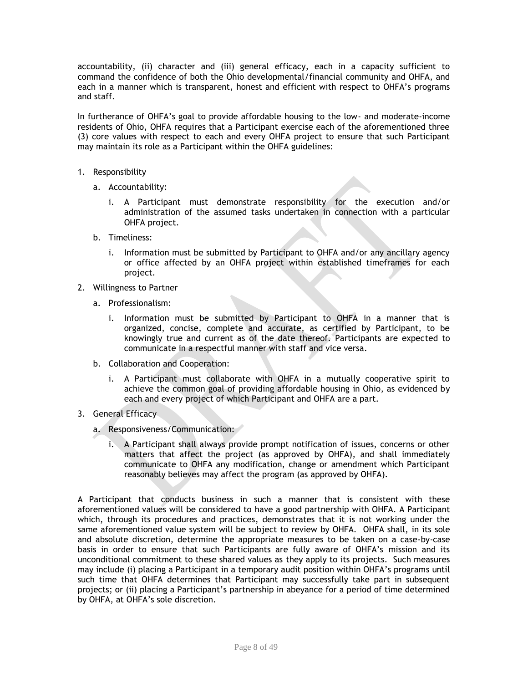accountability, (ii) character and (iii) general efficacy, each in a capacity sufficient to command the confidence of both the Ohio developmental/financial community and OHFA, and each in a manner which is transparent, honest and efficient with respect to OHFA's programs and staff.

In furtherance of OHFA's goal to provide affordable housing to the low- and moderate-income residents of Ohio, OHFA requires that a Participant exercise each of the aforementioned three (3) core values with respect to each and every OHFA project to ensure that such Participant may maintain its role as a Participant within the OHFA guidelines:

- 1. Responsibility
	- a. Accountability:
		- i. A Participant must demonstrate responsibility for the execution and/or administration of the assumed tasks undertaken in connection with a particular OHFA project.
	- b. Timeliness:
		- i. Information must be submitted by Participant to OHFA and/or any ancillary agency or office affected by an OHFA project within established timeframes for each project.
- 2. Willingness to Partner
	- a. Professionalism:
		- i. Information must be submitted by Participant to OHFA in a manner that is organized, concise, complete and accurate, as certified by Participant, to be knowingly true and current as of the date thereof. Participants are expected to communicate in a respectful manner with staff and vice versa.
	- b. Collaboration and Cooperation:
		- i. A Participant must collaborate with OHFA in a mutually cooperative spirit to achieve the common goal of providing affordable housing in Ohio, as evidenced by each and every project of which Participant and OHFA are a part.
- 3. General Efficacy
	- a. Responsiveness/Communication:
		- i. A Participant shall always provide prompt notification of issues, concerns or other matters that affect the project (as approved by OHFA), and shall immediately communicate to OHFA any modification, change or amendment which Participant reasonably believes may affect the program (as approved by OHFA).

A Participant that conducts business in such a manner that is consistent with these aforementioned values will be considered to have a good partnership with OHFA. A Participant which, through its procedures and practices, demonstrates that it is not working under the same aforementioned value system will be subject to review by OHFA. OHFA shall, in its sole and absolute discretion, determine the appropriate measures to be taken on a case-by-case basis in order to ensure that such Participants are fully aware of OHFA's mission and its unconditional commitment to these shared values as they apply to its projects. Such measures may include (i) placing a Participant in a temporary audit position within OHFA's programs until such time that OHFA determines that Participant may successfully take part in subsequent projects; or (ii) placing a Participant's partnership in abeyance for a period of time determined by OHFA, at OHFA's sole discretion.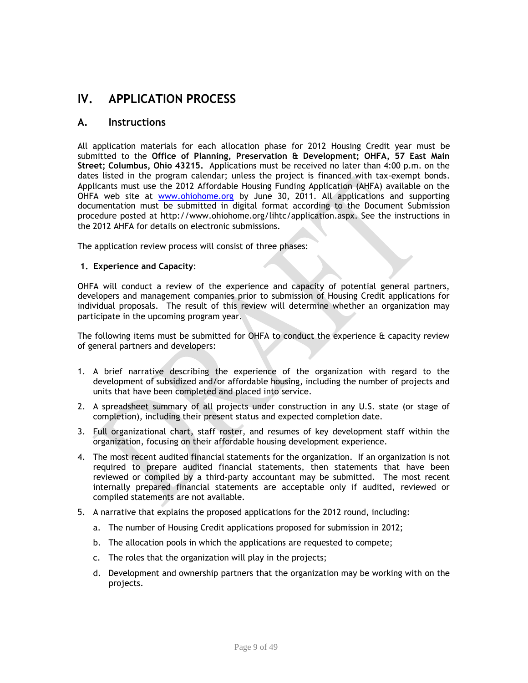# **IV. APPLICATION PROCESS**

# **A. Instructions**

All application materials for each allocation phase for 2012 Housing Credit year must be submitted to the **Office of Planning, Preservation & Development; OHFA, 57 East Main Street; Columbus, Ohio 43215.** Applications must be received no later than 4:00 p.m. on the dates listed in the program calendar; unless the project is financed with tax-exempt bonds. Applicants must use the 2012 Affordable Housing Funding Application (AHFA) available on the OHFA web site at [www.ohiohome.org](http://www.ohiohome.org/) by June 30, 2011. All applications and supporting documentation must be submitted in digital format according to the Document Submission procedure posted at http://www.ohiohome.org/lihtc/application.aspx. See the instructions in the 2012 AHFA for details on electronic submissions.

The application review process will consist of three phases:

#### **1. Experience and Capacity**:

OHFA will conduct a review of the experience and capacity of potential general partners, developers and management companies prior to submission of Housing Credit applications for individual proposals. The result of this review will determine whether an organization may participate in the upcoming program year.

The following items must be submitted for OHFA to conduct the experience  $\alpha$  capacity review of general partners and developers:

- 1. A brief narrative describing the experience of the organization with regard to the development of subsidized and/or affordable housing, including the number of projects and units that have been completed and placed into service.
- 2. A spreadsheet summary of all projects under construction in any U.S. state (or stage of completion), including their present status and expected completion date.
- 3. Full organizational chart, staff roster, and resumes of key development staff within the organization, focusing on their affordable housing development experience.
- 4. The most recent audited financial statements for the organization. If an organization is not required to prepare audited financial statements, then statements that have been reviewed or compiled by a third-party accountant may be submitted. The most recent internally prepared financial statements are acceptable only if audited, reviewed or compiled statements are not available.
- 5. A narrative that explains the proposed applications for the 2012 round, including:
	- a. The number of Housing Credit applications proposed for submission in 2012;
	- b. The allocation pools in which the applications are requested to compete;
	- c. The roles that the organization will play in the projects;
	- d. Development and ownership partners that the organization may be working with on the projects.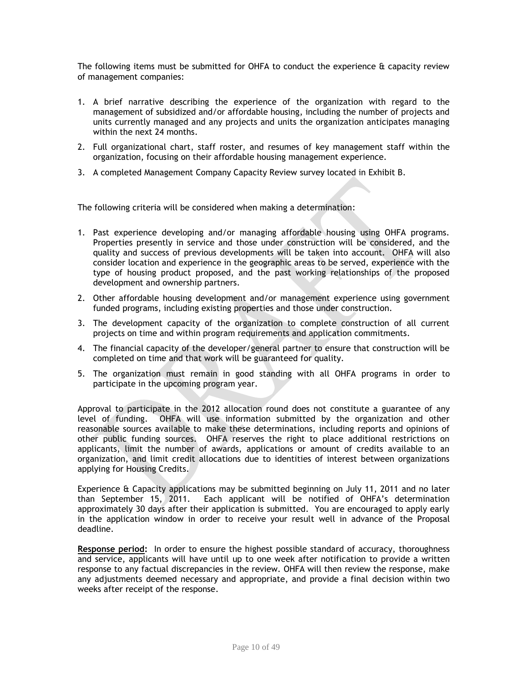The following items must be submitted for OHFA to conduct the experience  $\alpha$  capacity review of management companies:

- 1. A brief narrative describing the experience of the organization with regard to the management of subsidized and/or affordable housing, including the number of projects and units currently managed and any projects and units the organization anticipates managing within the next 24 months.
- 2. Full organizational chart, staff roster, and resumes of key management staff within the organization, focusing on their affordable housing management experience.
- 3. A completed Management Company Capacity Review survey located in Exhibit B.

The following criteria will be considered when making a determination:

- 1. Past experience developing and/or managing affordable housing using OHFA programs. Properties presently in service and those under construction will be considered, and the quality and success of previous developments will be taken into account. OHFA will also consider location and experience in the geographic areas to be served, experience with the type of housing product proposed, and the past working relationships of the proposed development and ownership partners.
- 2. Other affordable housing development and/or management experience using government funded programs, including existing properties and those under construction.
- 3. The development capacity of the organization to complete construction of all current projects on time and within program requirements and application commitments.
- 4. The financial capacity of the developer/general partner to ensure that construction will be completed on time and that work will be guaranteed for quality.
- 5. The organization must remain in good standing with all OHFA programs in order to participate in the upcoming program year.

Approval to participate in the 2012 allocation round does not constitute a guarantee of any level of funding. OHFA will use information submitted by the organization and other reasonable sources available to make these determinations, including reports and opinions of other public funding sources. OHFA reserves the right to place additional restrictions on applicants, limit the number of awards, applications or amount of credits available to an organization, and limit credit allocations due to identities of interest between organizations applying for Housing Credits.

Experience & Capacity applications may be submitted beginning on July 11, 2011 and no later than September 15, 2011. Each applicant will be notified of OHFA's determination approximately 30 days after their application is submitted. You are encouraged to apply early in the application window in order to receive your result well in advance of the Proposal deadline.

**Response period:** In order to ensure the highest possible standard of accuracy, thoroughness and service, applicants will have until up to one week after notification to provide a written response to any factual discrepancies in the review. OHFA will then review the response, make any adjustments deemed necessary and appropriate, and provide a final decision within two weeks after receipt of the response.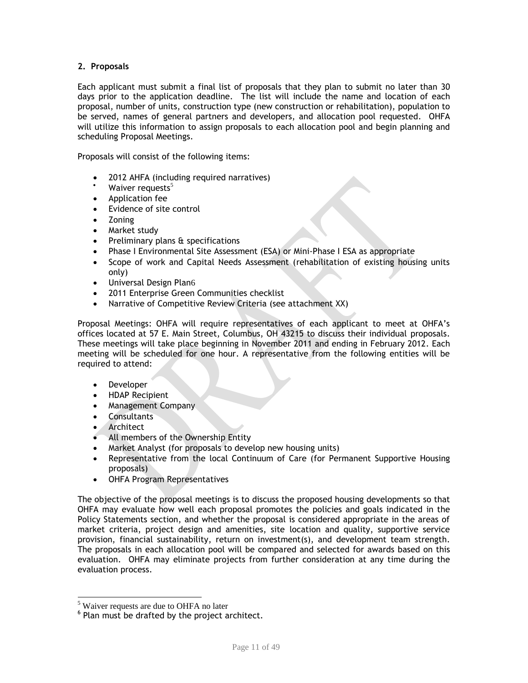## **2. Proposals**

Each applicant must submit a final list of proposals that they plan to submit no later than 30 days prior to the application deadline. The list will include the name and location of each proposal, number of units, construction type (new construction or rehabilitation), population to be served, names of general partners and developers, and allocation pool requested. OHFA will utilize this information to assign proposals to each allocation pool and begin planning and scheduling Proposal Meetings.

Proposals will consist of the following items:

- 2012 AHFA (including required narratives)
- Waiver requests $5$
- Application fee
- Evidence of site control
- Zoning
- Market study
- Preliminary plans & specifications
- Phase I Environmental Site Assessment (ESA) or Mini-Phase I ESA as appropriate
- Scope of work and Capital Needs Assessment (rehabilitation of existing housing units only)
- Universal Design Plan6
- 2011 Enterprise Green Communities checklist
- Narrative of Competitive Review Criteria (see attachment XX)

Proposal Meetings: OHFA will require representatives of each applicant to meet at OHFA's offices located at 57 E. Main Street, Columbus, OH 43215 to discuss their individual proposals. These meetings will take place beginning in November 2011 and ending in February 2012. Each meeting will be scheduled for one hour. A representative from the following entities will be required to attend:

- Developer
- HDAP Recipient
- Management Company
- **Consultants**
- Architect

 $\overline{\phantom{a}}$ 

- All members of the Ownership Entity
- Market Analyst (for proposals to develop new housing units)
- Representative from the local Continuum of Care (for Permanent Supportive Housing proposals)
- OHFA Program Representatives

The objective of the proposal meetings is to discuss the proposed housing developments so that OHFA may evaluate how well each proposal promotes the policies and goals indicated in the Policy Statements section, and whether the proposal is considered appropriate in the areas of market criteria, project design and amenities, site location and quality, supportive service provision, financial sustainability, return on investment(s), and development team strength. The proposals in each allocation pool will be compared and selected for awards based on this evaluation. OHFA may eliminate projects from further consideration at any time during the evaluation process.

<sup>&</sup>lt;sup>5</sup> Waiver requests are due to OHFA no later

 $6$  Plan must be drafted by the project architect.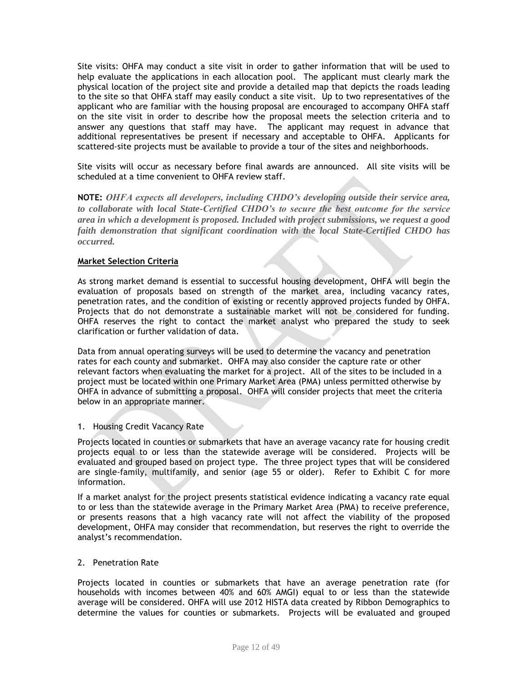Site visits: OHFA may conduct a site visit in order to gather information that will be used to help evaluate the applications in each allocation pool. The applicant must clearly mark the physical location of the project site and provide a detailed map that depicts the roads leading to the site so that OHFA staff may easily conduct a site visit. Up to two representatives of the applicant who are familiar with the housing proposal are encouraged to accompany OHFA staff on the site visit in order to describe how the proposal meets the selection criteria and to answer any questions that staff may have. The applicant may request in advance that additional representatives be present if necessary and acceptable to OHFA. Applicants for scattered-site projects must be available to provide a tour of the sites and neighborhoods.

Site visits will occur as necessary before final awards are announced. All site visits will be scheduled at a time convenient to OHFA review staff.

**NOTE:** *OHFA expects all developers, including CHDO's developing outside their service area, to collaborate with local State-Certified CHDO's to secure the best outcome for the service area in which a development is proposed. Included with project submissions, we request a good faith demonstration that significant coordination with the local State-Certified CHDO has occurred.* 

#### **Market Selection Criteria**

As strong market demand is essential to successful housing development, OHFA will begin the evaluation of proposals based on strength of the market area, including vacancy rates, penetration rates, and the condition of existing or recently approved projects funded by OHFA. Projects that do not demonstrate a sustainable market will not be considered for funding. OHFA reserves the right to contact the market analyst who prepared the study to seek clarification or further validation of data.

Data from annual operating surveys will be used to determine the vacancy and penetration rates for each county and submarket. OHFA may also consider the capture rate or other relevant factors when evaluating the market for a project. All of the sites to be included in a project must be located within one Primary Market Area (PMA) unless permitted otherwise by OHFA in advance of submitting a proposal. OHFA will consider projects that meet the criteria below in an appropriate manner.

## 1. Housing Credit Vacancy Rate

Projects located in counties or submarkets that have an average vacancy rate for housing credit projects equal to or less than the statewide average will be considered. Projects will be evaluated and grouped based on project type. The three project types that will be considered are single-family, multifamily, and senior (age 55 or older). Refer to Exhibit C for more information.

If a market analyst for the project presents statistical evidence indicating a vacancy rate equal to or less than the statewide average in the Primary Market Area (PMA) to receive preference, or presents reasons that a high vacancy rate will not affect the viability of the proposed development, OHFA may consider that recommendation, but reserves the right to override the analyst's recommendation.

#### 2. Penetration Rate

Projects located in counties or submarkets that have an average penetration rate (for households with incomes between 40% and 60% AMGI) equal to or less than the statewide average will be considered. OHFA will use 2012 HISTA data created by Ribbon Demographics to determine the values for counties or submarkets. Projects will be evaluated and grouped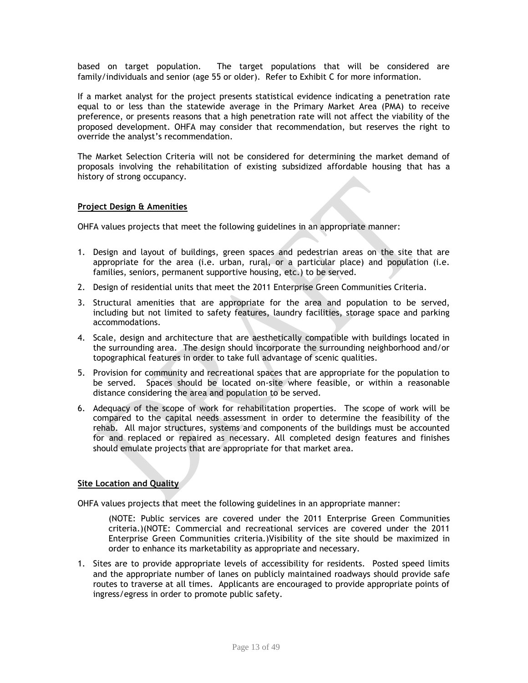based on target population. The target populations that will be considered are family/individuals and senior (age 55 or older). Refer to Exhibit C for more information.

If a market analyst for the project presents statistical evidence indicating a penetration rate equal to or less than the statewide average in the Primary Market Area (PMA) to receive preference, or presents reasons that a high penetration rate will not affect the viability of the proposed development. OHFA may consider that recommendation, but reserves the right to override the analyst's recommendation.

The Market Selection Criteria will not be considered for determining the market demand of proposals involving the rehabilitation of existing subsidized affordable housing that has a history of strong occupancy.

#### **Project Design & Amenities**

OHFA values projects that meet the following guidelines in an appropriate manner:

- 1. Design and layout of buildings, green spaces and pedestrian areas on the site that are appropriate for the area (i.e. urban, rural, or a particular place) and population (i.e. families, seniors, permanent supportive housing, etc.) to be served.
- 2. Design of residential units that meet the 2011 Enterprise Green Communities Criteria.
- 3. Structural amenities that are appropriate for the area and population to be served, including but not limited to safety features, laundry facilities, storage space and parking accommodations.
- 4. Scale, design and architecture that are aesthetically compatible with buildings located in the surrounding area. The design should incorporate the surrounding neighborhood and/or topographical features in order to take full advantage of scenic qualities.
- 5. Provision for community and recreational spaces that are appropriate for the population to be served. Spaces should be located on-site where feasible, or within a reasonable distance considering the area and population to be served.
- 6. Adequacy of the scope of work for rehabilitation properties. The scope of work will be compared to the capital needs assessment in order to determine the feasibility of the rehab. All major structures, systems and components of the buildings must be accounted for and replaced or repaired as necessary. All completed design features and finishes should emulate projects that are appropriate for that market area.

## **Site Location and Quality**

OHFA values projects that meet the following guidelines in an appropriate manner:

(NOTE: Public services are covered under the 2011 Enterprise Green Communities criteria.)(NOTE: Commercial and recreational services are covered under the 2011 Enterprise Green Communities criteria.)Visibility of the site should be maximized in order to enhance its marketability as appropriate and necessary.

1. Sites are to provide appropriate levels of accessibility for residents. Posted speed limits and the appropriate number of lanes on publicly maintained roadways should provide safe routes to traverse at all times. Applicants are encouraged to provide appropriate points of ingress/egress in order to promote public safety.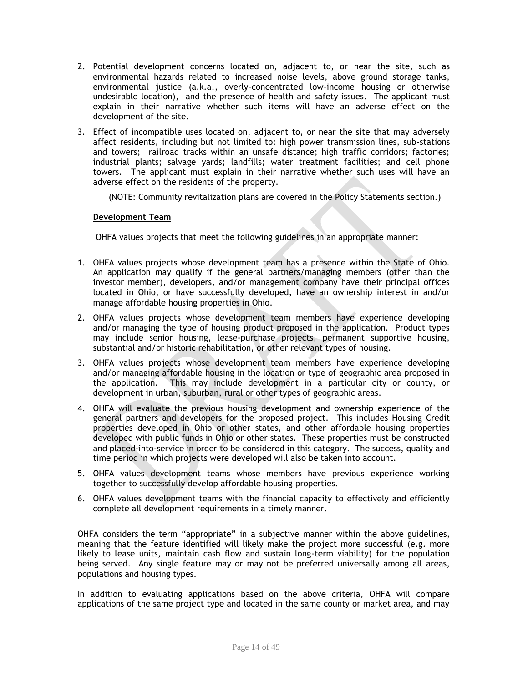- 2. Potential development concerns located on, adjacent to, or near the site, such as environmental hazards related to increased noise levels, above ground storage tanks, environmental justice (a.k.a., overly-concentrated low-income housing or otherwise undesirable location), and the presence of health and safety issues. The applicant must explain in their narrative whether such items will have an adverse effect on the development of the site.
- 3. Effect of incompatible uses located on, adjacent to, or near the site that may adversely affect residents, including but not limited to: high power transmission lines, sub-stations and towers; railroad tracks within an unsafe distance; high traffic corridors; factories; industrial plants; salvage yards; landfills; water treatment facilities; and cell phone towers. The applicant must explain in their narrative whether such uses will have an adverse effect on the residents of the property.

(NOTE: Community revitalization plans are covered in the Policy Statements section.)

#### **Development Team**

OHFA values projects that meet the following guidelines in an appropriate manner:

- 1. OHFA values projects whose development team has a presence within the State of Ohio. An application may qualify if the general partners/managing members (other than the investor member), developers, and/or management company have their principal offices located in Ohio, or have successfully developed, have an ownership interest in and/or manage affordable housing properties in Ohio.
- 2. OHFA values projects whose development team members have experience developing and/or managing the type of housing product proposed in the application. Product types may include senior housing, lease-purchase projects, permanent supportive housing, substantial and/or historic rehabilitation, or other relevant types of housing.
- 3. OHFA values projects whose development team members have experience developing and/or managing affordable housing in the location or type of geographic area proposed in the application. This may include development in a particular city or county, or development in urban, suburban, rural or other types of geographic areas.
- 4. OHFA will evaluate the previous housing development and ownership experience of the general partners and developers for the proposed project. This includes Housing Credit properties developed in Ohio or other states, and other affordable housing properties developed with public funds in Ohio or other states. These properties must be constructed and placed-into-service in order to be considered in this category. The success, quality and time period in which projects were developed will also be taken into account.
- 5. OHFA values development teams whose members have previous experience working together to successfully develop affordable housing properties.
- 6. OHFA values development teams with the financial capacity to effectively and efficiently complete all development requirements in a timely manner.

OHFA considers the term "appropriate" in a subjective manner within the above guidelines, meaning that the feature identified will likely make the project more successful (e.g. more likely to lease units, maintain cash flow and sustain long-term viability) for the population being served. Any single feature may or may not be preferred universally among all areas, populations and housing types.

In addition to evaluating applications based on the above criteria, OHFA will compare applications of the same project type and located in the same county or market area, and may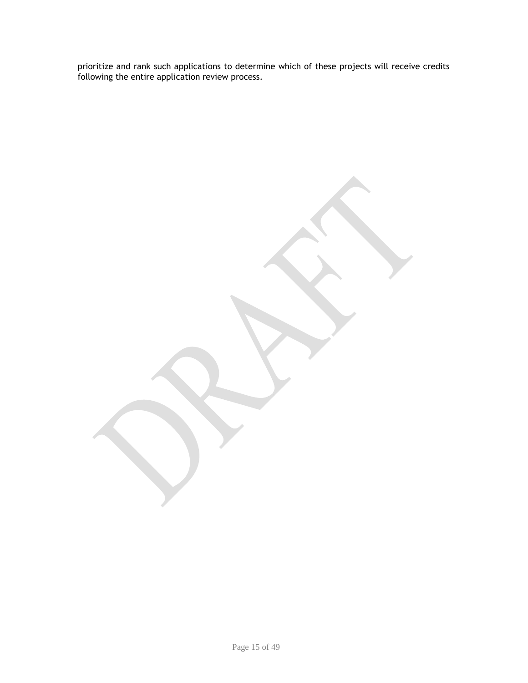prioritize and rank such applications to determine which of these projects will receive credits following the entire application review process.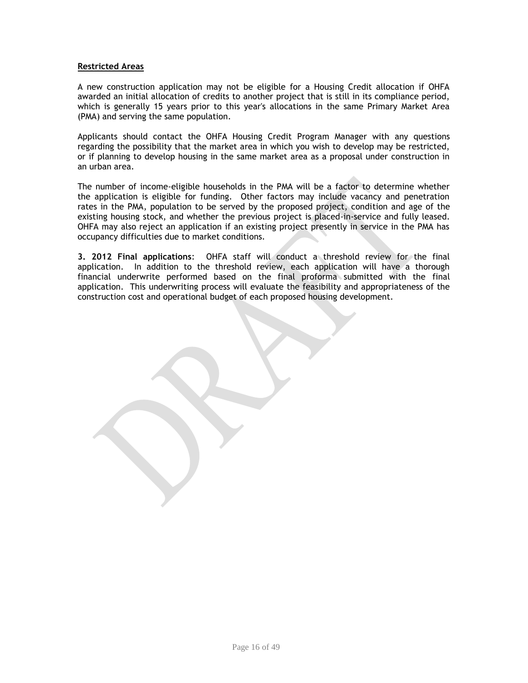#### **Restricted Areas**

A new construction application may not be eligible for a Housing Credit allocation if OHFA awarded an initial allocation of credits to another project that is still in its compliance period, which is generally 15 years prior to this year's allocations in the same Primary Market Area (PMA) and serving the same population.

Applicants should contact the OHFA Housing Credit Program Manager with any questions regarding the possibility that the market area in which you wish to develop may be restricted, or if planning to develop housing in the same market area as a proposal under construction in an urban area.

The number of income-eligible households in the PMA will be a factor to determine whether the application is eligible for funding. Other factors may include vacancy and penetration rates in the PMA, population to be served by the proposed project, condition and age of the existing housing stock, and whether the previous project is placed-in-service and fully leased. OHFA may also reject an application if an existing project presently in service in the PMA has occupancy difficulties due to market conditions.

**3. 2012 Final applications**: OHFA staff will conduct a threshold review for the final application. In addition to the threshold review, each application will have a thorough financial underwrite performed based on the final proforma submitted with the final application. This underwriting process will evaluate the feasibility and appropriateness of the construction cost and operational budget of each proposed housing development.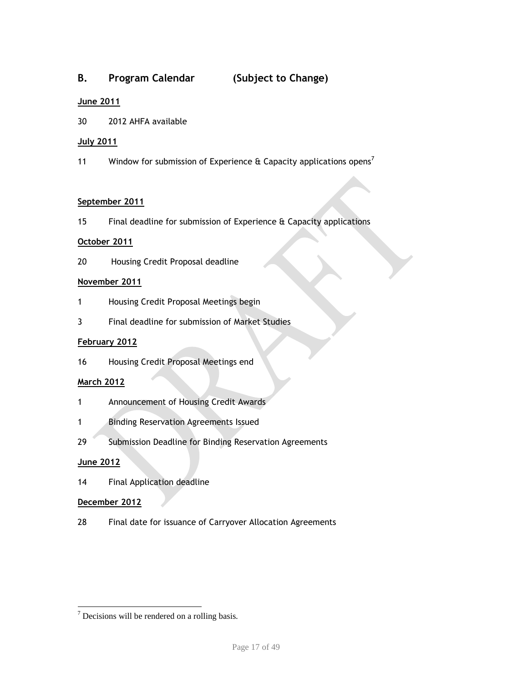# **B. Program Calendar (Subject to Change)**

# **June 2011**

30 2012 AHFA available

## **July 2011**

11 Window for submission of Experience  $\theta$  Capacity applications opens<sup>7</sup>

## **September 2011**

15 Final deadline for submission of Experience & Capacity applications

## **October 2011**

20 Housing Credit Proposal deadline

#### **November 2011**

- 1 Housing Credit Proposal Meetings begin
- 3 Final deadline for submission of Market Studies

## **February 2012**

16 Housing Credit Proposal Meetings end

## **March 2012**

- 1 Announcement of Housing Credit Awards
- 1 Binding Reservation Agreements Issued
- 29 Submission Deadline for Binding Reservation Agreements

## **June 2012**

l

14 Final Application deadline

### **December 2012**

28 Final date for issuance of Carryover Allocation Agreements

 $\frac{7}{7}$  Decisions will be rendered on a rolling basis.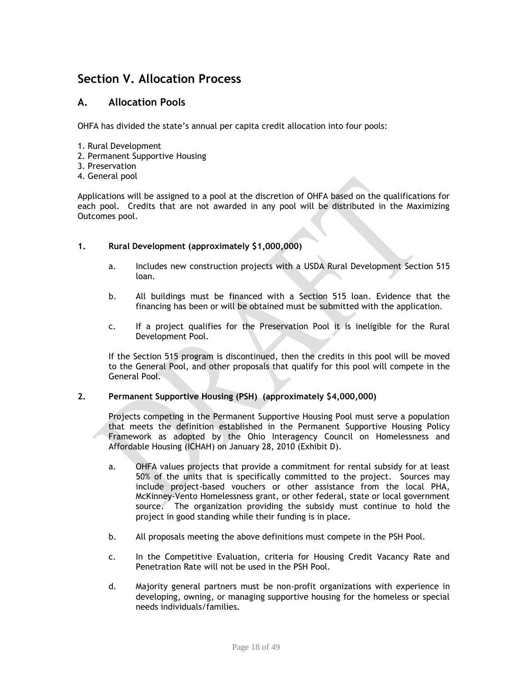# **Section V. Allocation Process**

# **A. Allocation Pools**

OHFA has divided the state's annual per capita credit allocation into four pools:

- 1. Rural Development
- 2. Permanent Supportive Housing
- 3. Preservation
- 4. General pool

Applications will be assigned to a pool at the discretion of OHFA based on the qualifications for each pool. Credits that are not awarded in any pool will be distributed in the Maximizing Outcomes pool.

#### **1. Rural Development (approximately \$1,000,000)**

- a. Includes new construction projects with a USDA Rural Development Section 515 loan.
- b. All buildings must be financed with a Section 515 loan. Evidence that the financing has been or will be obtained must be submitted with the application.
- c. If a project qualifies for the Preservation Pool it is ineligible for the Rural Development Pool.

If the Section 515 program is discontinued, then the credits in this pool will be moved to the General Pool, and other proposals that qualify for this pool will compete in the General Pool.

#### **2. Permanent Supportive Housing (PSH) (approximately \$4,000,000)**

Projects competing in the Permanent Supportive Housing Pool must serve a population that meets the definition established in the Permanent Supportive Housing Policy Framework as adopted by the Ohio Interagency Council on Homelessness and Affordable Housing (ICHAH) on January 28, 2010 (Exhibit D).

- a. OHFA values projects that provide a commitment for rental subsidy for at least 50% of the units that is specifically committed to the project. Sources may include project-based vouchers or other assistance from the local PHA, McKinney-Vento Homelessness grant, or other federal, state or local government source. The organization providing the subsidy must continue to hold the project in good standing while their funding is in place.
- b. All proposals meeting the above definitions must compete in the PSH Pool.
- c. In the Competitive Evaluation, criteria for Housing Credit Vacancy Rate and Penetration Rate will not be used in the PSH Pool.
- d. Majority general partners must be non-profit organizations with experience in developing, owning, or managing supportive housing for the homeless or special needs individuals/families.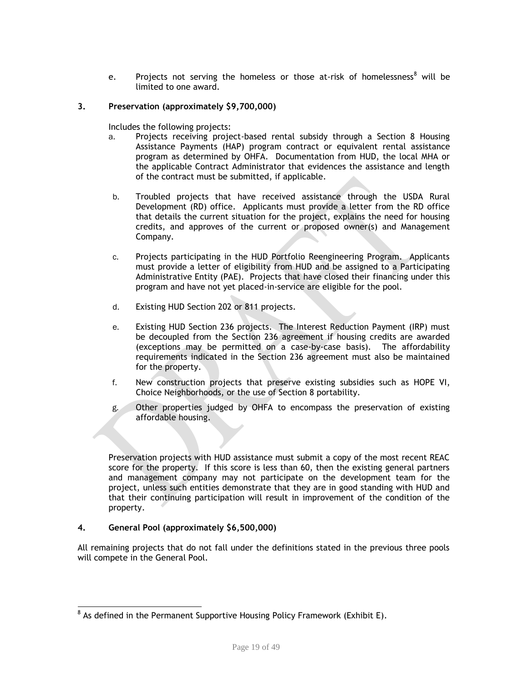e. Projects not serving the homeless or those at-risk of homelessness<sup>8</sup> will be limited to one award.

### **3. Preservation (approximately \$9,700,000)**

Includes the following projects:

- a. Projects receiving project-based rental subsidy through a Section 8 Housing Assistance Payments (HAP) program contract or equivalent rental assistance program as determined by OHFA. Documentation from HUD, the local MHA or the applicable Contract Administrator that evidences the assistance and length of the contract must be submitted, if applicable.
- b. Troubled projects that have received assistance through the USDA Rural Development (RD) office. Applicants must provide a letter from the RD office that details the current situation for the project, explains the need for housing credits, and approves of the current or proposed owner(s) and Management Company.
- c. Projects participating in the HUD Portfolio Reengineering Program. Applicants must provide a letter of eligibility from HUD and be assigned to a Participating Administrative Entity (PAE). Projects that have closed their financing under this program and have not yet placed-in-service are eligible for the pool.
- d. Existing HUD Section 202 or 811 projects.
- e. Existing HUD Section 236 projects. The Interest Reduction Payment (IRP) must be decoupled from the Section 236 agreement if housing credits are awarded (exceptions may be permitted on a case-by-case basis). The affordability requirements indicated in the Section 236 agreement must also be maintained for the property.
- f. New construction projects that preserve existing subsidies such as HOPE VI, Choice Neighborhoods, or the use of Section 8 portability.
- g. Other properties judged by OHFA to encompass the preservation of existing affordable housing.

Preservation projects with HUD assistance must submit a copy of the most recent REAC score for the property. If this score is less than 60, then the existing general partners and management company may not participate on the development team for the project, unless such entities demonstrate that they are in good standing with HUD and that their continuing participation will result in improvement of the condition of the property.

#### **4. General Pool (approximately \$6,500,000)**

All remaining projects that do not fall under the definitions stated in the previous three pools will compete in the General Pool.

 8 As defined in the Permanent Supportive Housing Policy Framework (Exhibit E).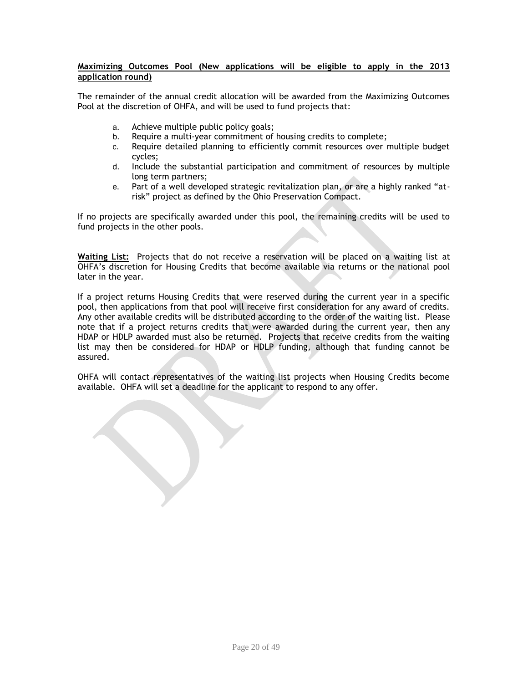### **Maximizing Outcomes Pool (New applications will be eligible to apply in the 2013 application round)**

The remainder of the annual credit allocation will be awarded from the Maximizing Outcomes Pool at the discretion of OHFA, and will be used to fund projects that:

- a. Achieve multiple public policy goals;
- b. Require a multi-year commitment of housing credits to complete;
- c. Require detailed planning to efficiently commit resources over multiple budget cycles;
- d. Include the substantial participation and commitment of resources by multiple long term partners;
- e. Part of a well developed strategic revitalization plan, or are a highly ranked "atrisk" project as defined by the Ohio Preservation Compact.

If no projects are specifically awarded under this pool, the remaining credits will be used to fund projects in the other pools.

**Waiting List:** Projects that do not receive a reservation will be placed on a waiting list at OHFA's discretion for Housing Credits that become available via returns or the national pool later in the year.

If a project returns Housing Credits that were reserved during the current year in a specific pool, then applications from that pool will receive first consideration for any award of credits. Any other available credits will be distributed according to the order of the waiting list. Please note that if a project returns credits that were awarded during the current year, then any HDAP or HDLP awarded must also be returned. Projects that receive credits from the waiting list may then be considered for HDAP or HDLP funding, although that funding cannot be assured.

OHFA will contact representatives of the waiting list projects when Housing Credits become available. OHFA will set a deadline for the applicant to respond to any offer.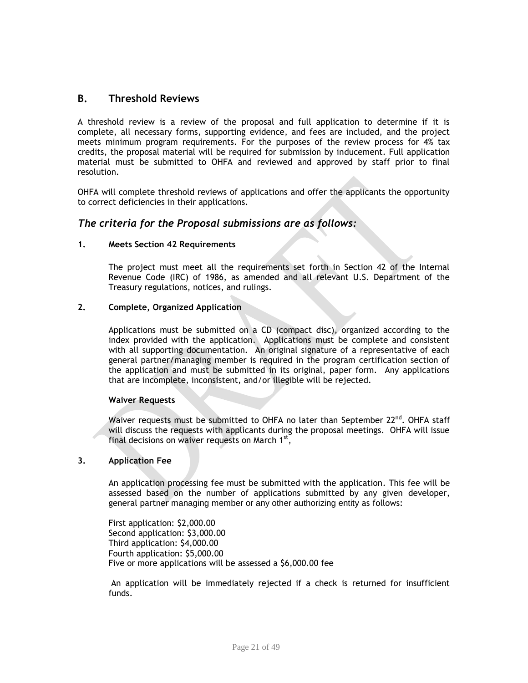# **B. Threshold Reviews**

A threshold review is a review of the proposal and full application to determine if it is complete, all necessary forms, supporting evidence, and fees are included, and the project meets minimum program requirements. For the purposes of the review process for 4% tax credits, the proposal material will be required for submission by inducement. Full application material must be submitted to OHFA and reviewed and approved by staff prior to final resolution.

OHFA will complete threshold reviews of applications and offer the applicants the opportunity to correct deficiencies in their applications.

## *The criteria for the Proposal submissions are as follows:*

#### **1. Meets Section 42 Requirements**

The project must meet all the requirements set forth in Section 42 of the Internal Revenue Code (IRC) of 1986, as amended and all relevant U.S. Department of the Treasury regulations, notices, and rulings.

#### **2. Complete, Organized Application**

Applications must be submitted on a CD (compact disc), organized according to the index provided with the application. Applications must be complete and consistent with all supporting documentation. An original signature of a representative of each general partner/managing member is required in the program certification section of the application and must be submitted in its original, paper form. Any applications that are incomplete, inconsistent, and/or illegible will be rejected.

#### **Waiver Requests**

Waiver requests must be submitted to OHFA no later than September  $22^{nd}$ . OHFA staff will discuss the requests with applicants during the proposal meetings. OHFA will issue final decisions on waiver requests on March  $1<sup>st</sup>$ ,

#### **3. Application Fee**

An application processing fee must be submitted with the application. This fee will be assessed based on the number of applications submitted by any given developer, general partner managing member or any other authorizing entity as follows:

First application: \$2,000.00 Second application: \$3,000.00 Third application: \$4,000.00 Fourth application: \$5,000.00 Five or more applications will be assessed a \$6,000.00 fee

An application will be immediately rejected if a check is returned for insufficient funds.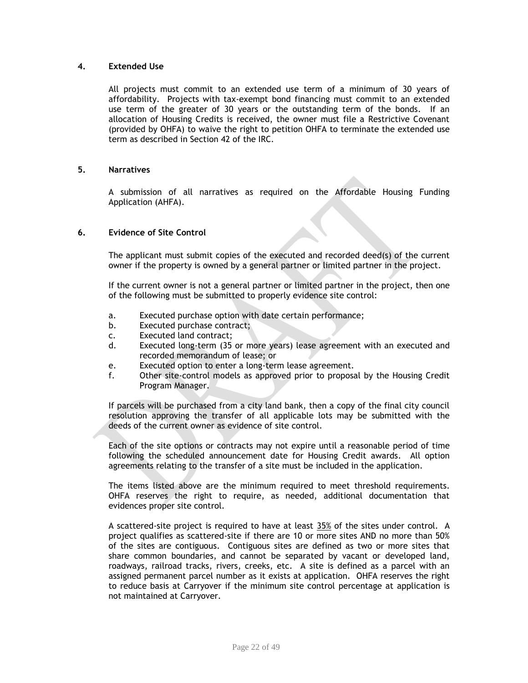#### **4. Extended Use**

All projects must commit to an extended use term of a minimum of 30 years of affordability. Projects with tax-exempt bond financing must commit to an extended use term of the greater of 30 years or the outstanding term of the bonds. If an allocation of Housing Credits is received, the owner must file a Restrictive Covenant (provided by OHFA) to waive the right to petition OHFA to terminate the extended use term as described in Section 42 of the IRC.

#### **5. Narratives**

A submission of all narratives as required on the Affordable Housing Funding Application (AHFA).

### **6. Evidence of Site Control**

The applicant must submit copies of the executed and recorded deed(s) of the current owner if the property is owned by a general partner or limited partner in the project.

If the current owner is not a general partner or limited partner in the project, then one of the following must be submitted to properly evidence site control:

- a. Executed purchase option with date certain performance;
- b. Executed purchase contract;
- c. Executed land contract;
- d. Executed long-term (35 or more years) lease agreement with an executed and recorded memorandum of lease; or
- e. Executed option to enter a long-term lease agreement.
- f. Other site-control models as approved prior to proposal by the Housing Credit Program Manager.

If parcels will be purchased from a city land bank, then a copy of the final city council resolution approving the transfer of all applicable lots may be submitted with the deeds of the current owner as evidence of site control.

Each of the site options or contracts may not expire until a reasonable period of time following the scheduled announcement date for Housing Credit awards. All option agreements relating to the transfer of a site must be included in the application.

The items listed above are the minimum required to meet threshold requirements. OHFA reserves the right to require, as needed, additional documentation that evidences proper site control.

A scattered-site project is required to have at least 35% of the sites under control. A project qualifies as scattered-site if there are 10 or more sites AND no more than 50% of the sites are contiguous. Contiguous sites are defined as two or more sites that share common boundaries, and cannot be separated by vacant or developed land, roadways, railroad tracks, rivers, creeks, etc. A site is defined as a parcel with an assigned permanent parcel number as it exists at application. OHFA reserves the right to reduce basis at Carryover if the minimum site control percentage at application is not maintained at Carryover.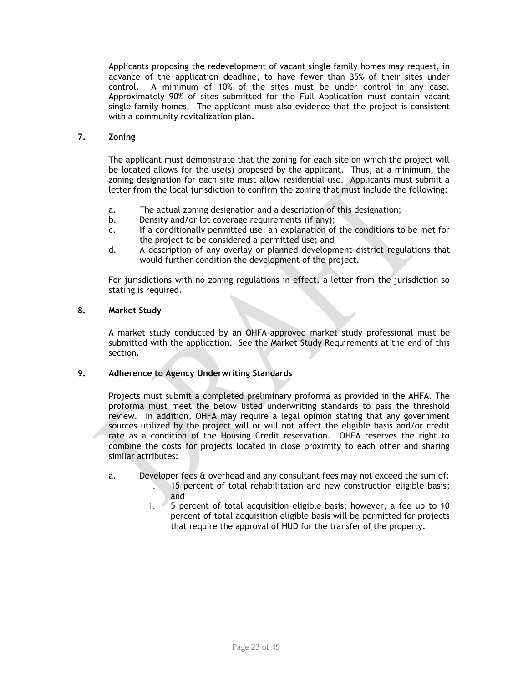Applicants proposing the redevelopment of vacant single family homes may request, in advance of the application deadline, to have fewer than 35% of their sites under control. A minimum of 10% of the sites must be under control in any case. Approximately 90% of sites submitted for the Full Application must contain vacant single family homes. The applicant must also evidence that the project is consistent with a community revitalization plan.

### **7. Zoning**

The applicant must demonstrate that the zoning for each site on which the project will be located allows for the use(s) proposed by the applicant. Thus, at a minimum, the zoning designation for each site must allow residential use. Applicants must submit a letter from the local jurisdiction to confirm the zoning that must include the following:

- a. The actual zoning designation and a description of this designation;
- b. Density and/or lot coverage requirements (if any);
- c. If a conditionally permitted use, an explanation of the conditions to be met for the project to be considered a permitted use; and
- d. A description of any overlay or planned development district regulations that would further condition the development of the project.

For jurisdictions with no zoning regulations in effect, a letter from the jurisdiction so stating is required.

#### **8. Market Study**

A market study conducted by an OHFA-approved market study professional must be submitted with the application. See the Market Study Requirements at the end of this section.

#### **9. Adherence to Agency Underwriting Standards**

Projects must submit a completed preliminary proforma as provided in the AHFA. The proforma must meet the below listed underwriting standards to pass the threshold review. In addition, OHFA may require a legal opinion stating that any government sources utilized by the project will or will not affect the eligible basis and/or credit rate as a condition of the Housing Credit reservation. OHFA reserves the right to combine the costs for projects located in close proximity to each other and sharing similar attributes:

#### a. Developer fees & overhead and any consultant fees may not exceed the sum of:

- i. 15 percent of total rehabilitation and new construction eligible basis; and
- ii. 5 percent of total acquisition eligible basis; however, a fee up to 10 percent of total acquisition eligible basis will be permitted for projects that require the approval of HUD for the transfer of the property.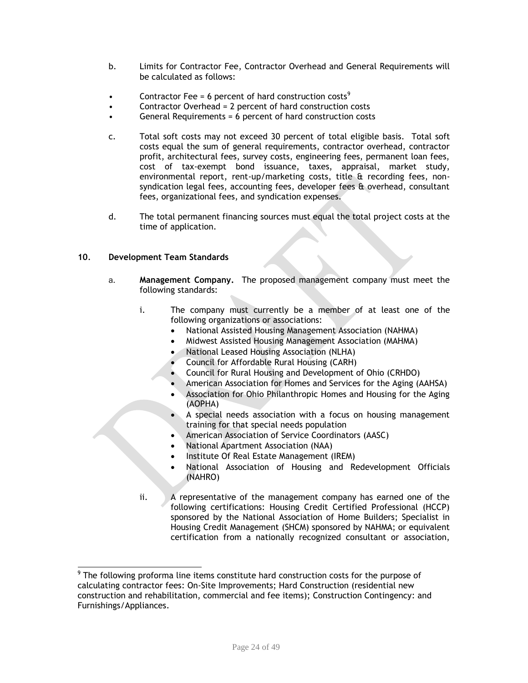- b. Limits for Contractor Fee, Contractor Overhead and General Requirements will be calculated as follows:
- Contractor Fee = 6 percent of hard construction costs<sup>9</sup>
- Contractor Overhead = 2 percent of hard construction costs
- General Requirements = 6 percent of hard construction costs
- c. Total soft costs may not exceed 30 percent of total eligible basis. Total soft costs equal the sum of general requirements, contractor overhead, contractor profit, architectural fees, survey costs, engineering fees, permanent loan fees, cost of tax-exempt bond issuance, taxes, appraisal, market study, environmental report, rent-up/marketing costs, title & recording fees, nonsyndication legal fees, accounting fees, developer fees  $\hat{\mathbf{a}}$  overhead, consultant fees, organizational fees, and syndication expenses.
- d. The total permanent financing sources must equal the total project costs at the time of application.

## **10***.* **Development Team Standards**

- a. **Management Company.** The proposed management company must meet the following standards:
	- i. The company must currently be a member of at least one of the following organizations or associations:
		- National Assisted Housing Management Association (NAHMA)
		- Midwest Assisted Housing Management Association (MAHMA)
		- National Leased Housing Association (NLHA)
		- Council for Affordable Rural Housing (CARH)
		- Council for Rural Housing and Development of Ohio (CRHDO)
		- American Association for Homes and Services for the Aging (AAHSA)
		- Association for Ohio Philanthropic Homes and Housing for the Aging (AOPHA)
		- A special needs association with a focus on housing management training for that special needs population
		- American Association of Service Coordinators (AASC)
		- National Apartment Association (NAA)
		- Institute Of Real Estate Management (IREM)
		- National Association of Housing and Redevelopment Officials (NAHRO)
	- ii. A representative of the management company has earned one of the following certifications: Housing Credit Certified Professional (HCCP) sponsored by the National Association of Home Builders; Specialist in Housing Credit Management (SHCM) sponsored by NAHMA; or equivalent certification from a nationally recognized consultant or association,

 9 The following proforma line items constitute hard construction costs for the purpose of calculating contractor fees: On-Site Improvements; Hard Construction (residential new construction and rehabilitation, commercial and fee items); Construction Contingency: and Furnishings/Appliances.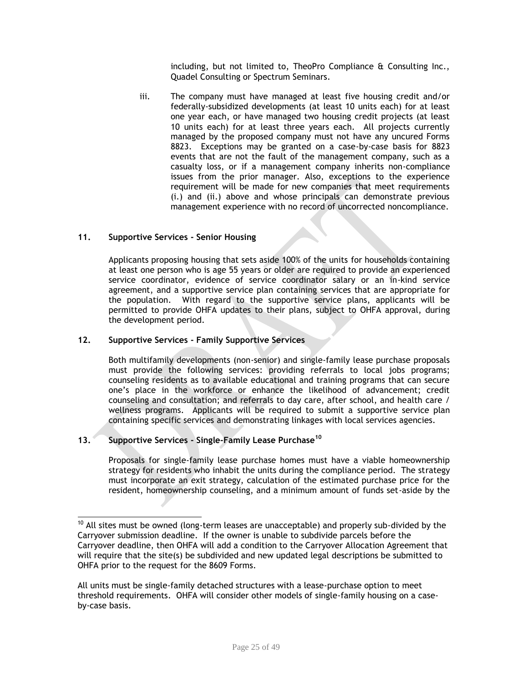including, but not limited to, TheoPro Compliance & Consulting Inc., Quadel Consulting or Spectrum Seminars.

iii. The company must have managed at least five housing credit and/or federally-subsidized developments (at least 10 units each) for at least one year each, or have managed two housing credit projects (at least 10 units each) for at least three years each. All projects currently managed by the proposed company must not have any uncured Forms 8823. Exceptions may be granted on a case-by-case basis for 8823 events that are not the fault of the management company, such as a casualty loss, or if a management company inherits non-compliance issues from the prior manager. Also, exceptions to the experience requirement will be made for new companies that meet requirements (i.) and (ii.) above and whose principals can demonstrate previous management experience with no record of uncorrected noncompliance.

## **11. Supportive Services - Senior Housing**

Applicants proposing housing that sets aside 100% of the units for households containing at least one person who is age 55 years or older are required to provide an experienced service coordinator, evidence of service coordinator salary or an in-kind service agreement, and a supportive service plan containing services that are appropriate for the population. With regard to the supportive service plans, applicants will be permitted to provide OHFA updates to their plans, subject to OHFA approval, during the development period.

#### **12. Supportive Services - Family Supportive Services**

Both multifamily developments (non-senior) and single-family lease purchase proposals must provide the following services: providing referrals to local jobs programs; counseling residents as to available educational and training programs that can secure one's place in the workforce or enhance the likelihood of advancement; credit counseling and consultation; and referrals to day care, after school, and health care / wellness programs. Applicants will be required to submit a supportive service plan containing specific services and demonstrating linkages with local services agencies.

## **13. Supportive Services - Single-Family Lease Purchase<sup>10</sup>**

 $\overline{\phantom{a}}$ 

Proposals for single-family lease purchase homes must have a viable homeownership strategy for residents who inhabit the units during the compliance period. The strategy must incorporate an exit strategy, calculation of the estimated purchase price for the resident, homeownership counseling, and a minimum amount of funds set-aside by the

 $10$  All sites must be owned (long-term leases are unacceptable) and properly sub-divided by the Carryover submission deadline. If the owner is unable to subdivide parcels before the Carryover deadline, then OHFA will add a condition to the Carryover Allocation Agreement that will require that the site(s) be subdivided and new updated legal descriptions be submitted to OHFA prior to the request for the 8609 Forms.

All units must be single-family detached structures with a lease-purchase option to meet threshold requirements. OHFA will consider other models of single-family housing on a caseby-case basis.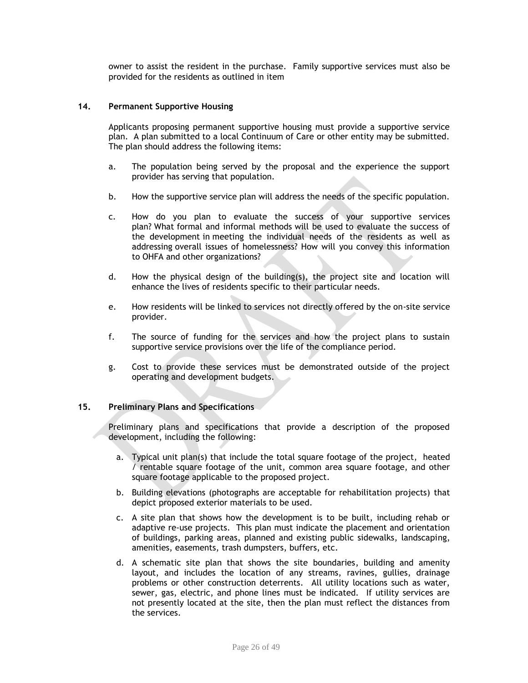owner to assist the resident in the purchase. Family supportive services must also be provided for the residents as outlined in item

#### **14. Permanent Supportive Housing**

Applicants proposing permanent supportive housing must provide a supportive service plan. A plan submitted to a local Continuum of Care or other entity may be submitted. The plan should address the following items:

- a. The population being served by the proposal and the experience the support provider has serving that population.
- b. How the supportive service plan will address the needs of the specific population.
- c. How do you plan to evaluate the success of your supportive services plan? What formal and informal methods will be used to evaluate the success of the development in meeting the individual needs of the residents as well as addressing overall issues of homelessness? How will you convey this information to OHFA and other organizations?
- d. How the physical design of the building(s), the project site and location will enhance the lives of residents specific to their particular needs.
- e. How residents will be linked to services not directly offered by the on-site service provider.
- f. The source of funding for the services and how the project plans to sustain supportive service provisions over the life of the compliance period.
- g. Cost to provide these services must be demonstrated outside of the project operating and development budgets.

#### **15. Preliminary Plans and Specifications**

Preliminary plans and specifications that provide a description of the proposed development, including the following:

- a. Typical unit plan(s) that include the total square footage of the project, heated / rentable square footage of the unit, common area square footage, and other square footage applicable to the proposed project.
- b. Building elevations (photographs are acceptable for rehabilitation projects) that depict proposed exterior materials to be used.
- c. A site plan that shows how the development is to be built, including rehab or adaptive re-use projects. This plan must indicate the placement and orientation of buildings, parking areas, planned and existing public sidewalks, landscaping, amenities, easements, trash dumpsters, buffers, etc.
- d. A schematic site plan that shows the site boundaries, building and amenity layout, and includes the location of any streams, ravines, gullies, drainage problems or other construction deterrents. All utility locations such as water, sewer, gas, electric, and phone lines must be indicated. If utility services are not presently located at the site, then the plan must reflect the distances from the services.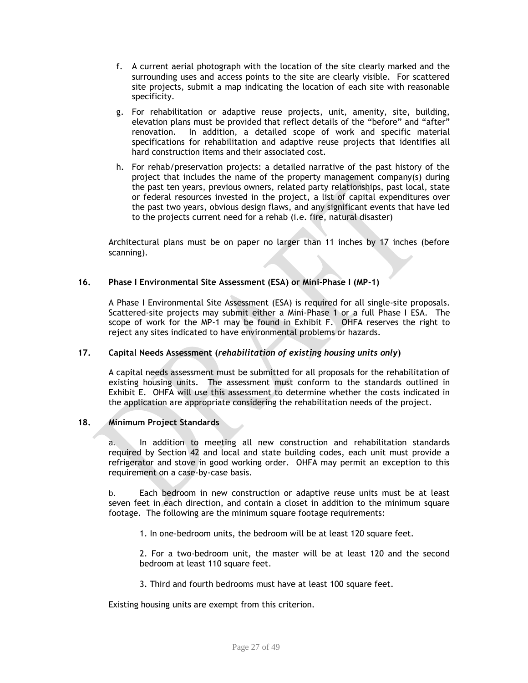- f. A current aerial photograph with the location of the site clearly marked and the surrounding uses and access points to the site are clearly visible. For scattered site projects, submit a map indicating the location of each site with reasonable specificity.
- g. For rehabilitation or adaptive reuse projects, unit, amenity, site, building, elevation plans must be provided that reflect details of the "before" and "after" renovation. In addition, a detailed scope of work and specific material specifications for rehabilitation and adaptive reuse projects that identifies all hard construction items and their associated cost.
- h. For rehab/preservation projects: a detailed narrative of the past history of the project that includes the name of the property management company(s) during the past ten years, previous owners, related party relationships, past local, state or federal resources invested in the project, a list of capital expenditures over the past two years, obvious design flaws, and any significant events that have led to the projects current need for a rehab (i.e. fire, natural disaster)

Architectural plans must be on paper no larger than 11 inches by 17 inches (before scanning).

#### **16. Phase I Environmental Site Assessment (ESA) or Mini-Phase I (MP-1)**

A Phase I Environmental Site Assessment (ESA) is required for all single-site proposals. Scattered-site projects may submit either a Mini-Phase 1 or a full Phase I ESA. The scope of work for the MP-1 may be found in Exhibit F. OHFA reserves the right to reject any sites indicated to have environmental problems or hazards.

#### **17. Capital Needs Assessment (***rehabilitation of existing housing units only***)**

A capital needs assessment must be submitted for all proposals for the rehabilitation of existing housing units. The assessment must conform to the standards outlined in Exhibit E. OHFA will use this assessment to determine whether the costs indicated in the application are appropriate considering the rehabilitation needs of the project.

#### **18. Minimum Project Standards**

a. In addition to meeting all new construction and rehabilitation standards required by Section 42 and local and state building codes, each unit must provide a refrigerator and stove in good working order. OHFA may permit an exception to this requirement on a case-by-case basis.

b. Each bedroom in new construction or adaptive reuse units must be at least seven feet in each direction, and contain a closet in addition to the minimum square footage. The following are the minimum square footage requirements:

1. In one-bedroom units, the bedroom will be at least 120 square feet.

2. For a two-bedroom unit, the master will be at least 120 and the second bedroom at least 110 square feet.

3. Third and fourth bedrooms must have at least 100 square feet.

Existing housing units are exempt from this criterion.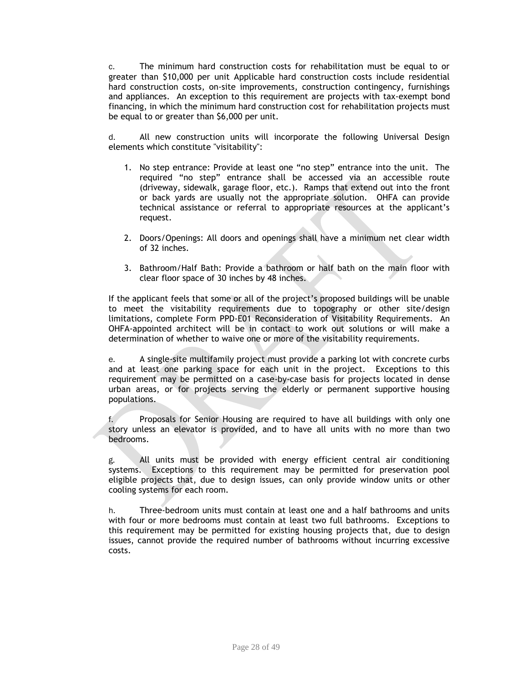c. The minimum hard construction costs for rehabilitation must be equal to or greater than \$10,000 per unit Applicable hard construction costs include residential hard construction costs, on-site improvements, construction contingency, furnishings and appliances. An exception to this requirement are projects with tax-exempt bond financing, in which the minimum hard construction cost for rehabilitation projects must be equal to or greater than \$6,000 per unit.

d. All new construction units will incorporate the following Universal Design elements which constitute "visitability":

- 1. No step entrance: Provide at least one "no step" entrance into the unit. The required "no step" entrance shall be accessed via an accessible route (driveway, sidewalk, garage floor, etc.). Ramps that extend out into the front or back yards are usually not the appropriate solution. OHFA can provide technical assistance or referral to appropriate resources at the applicant's request.
- 2. Doors/Openings: All doors and openings shall have a minimum net clear width of 32 inches.
- 3. Bathroom/Half Bath: Provide a bathroom or half bath on the main floor with clear floor space of 30 inches by 48 inches.

If the applicant feels that some or all of the project's proposed buildings will be unable to meet the visitability requirements due to topography or other site/design limitations, complete Form PPD-E01 Reconsideration of Visitability Requirements. An OHFA-appointed architect will be in contact to work out solutions or will make a determination of whether to waive one or more of the visitability requirements.

e. A single-site multifamily project must provide a parking lot with concrete curbs and at least one parking space for each unit in the project. Exceptions to this requirement may be permitted on a case-by-case basis for projects located in dense urban areas, or for projects serving the elderly or permanent supportive housing populations.

f. Proposals for Senior Housing are required to have all buildings with only one story unless an elevator is provided, and to have all units with no more than two bedrooms.

g. All units must be provided with energy efficient central air conditioning systems. Exceptions to this requirement may be permitted for preservation pool eligible projects that, due to design issues, can only provide window units or other cooling systems for each room.

h. Three-bedroom units must contain at least one and a half bathrooms and units with four or more bedrooms must contain at least two full bathrooms. Exceptions to this requirement may be permitted for existing housing projects that, due to design issues, cannot provide the required number of bathrooms without incurring excessive costs.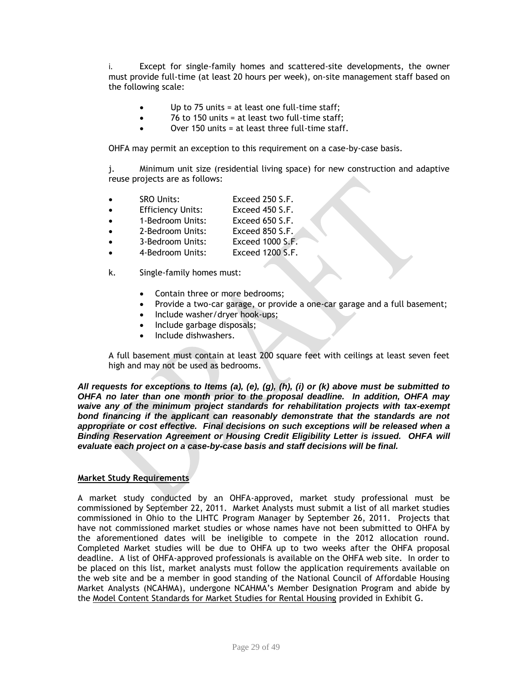i. Except for single-family homes and scattered-site developments, the owner must provide full-time (at least 20 hours per week), on-site management staff based on the following scale:

- Up to 75 units = at least one full-time staff;
- 76 to 150 units = at least two full-time staff;
- Over 150 units  $=$  at least three full-time staff.

OHFA may permit an exception to this requirement on a case-by-case basis.

j. Minimum unit size (residential living space) for new construction and adaptive reuse projects are as follows:

| <b>SRO Units:</b> | Exceed 250 S.F.                 |
|-------------------|---------------------------------|
|                   | $F_{total}$ and $F_{C}$ $F_{C}$ |

- Efficiency Units: Exceed 450 S.F.
- 1-Bedroom Units: Exceed 650 S.F.
- 2-Bedroom Units: Exceed 850 S.F.
- 3-Bedroom Units: Exceed 1000 S.F.
- 4-Bedroom Units: Exceed 1200 S.F.
- k. Single-family homes must:
	- Contain three or more bedrooms;
	- Provide a two-car garage, or provide a one-car garage and a full basement;
	- Include washer/dryer hook-ups;
	- Include garbage disposals;
	- Include dishwashers.

A full basement must contain at least 200 square feet with ceilings at least seven feet high and may not be used as bedrooms.

*All requests for exceptions to Items (a), (e), (g), (h), (i) or (k) above must be submitted to OHFA no later than one month prior to the proposal deadline. In addition, OHFA may waive any of the minimum project standards for rehabilitation projects with tax-exempt bond financing if the applicant can reasonably demonstrate that the standards are not appropriate or cost effective. Final decisions on such exceptions will be released when a Binding Reservation Agreement or Housing Credit Eligibility Letter is issued. OHFA will evaluate each project on a case-by-case basis and staff decisions will be final.*

#### **Market Study Requirements**

A market study conducted by an OHFA-approved, market study professional must be commissioned by September 22, 2011. Market Analysts must submit a list of all market studies commissioned in Ohio to the LIHTC Program Manager by September 26, 2011. Projects that have not commissioned market studies or whose names have not been submitted to OHFA by the aforementioned dates will be ineligible to compete in the 2012 allocation round. Completed Market studies will be due to OHFA up to two weeks after the OHFA proposal deadline. A list of OHFA-approved professionals is available on the OHFA web site. In order to be placed on this list, market analysts must follow the application requirements available on the web site and be a member in good standing of the National Council of Affordable Housing Market Analysts (NCAHMA), undergone NCAHMA's Member Designation Program and abide by the Model Content Standards for Market Studies for Rental Housing provided in Exhibit G.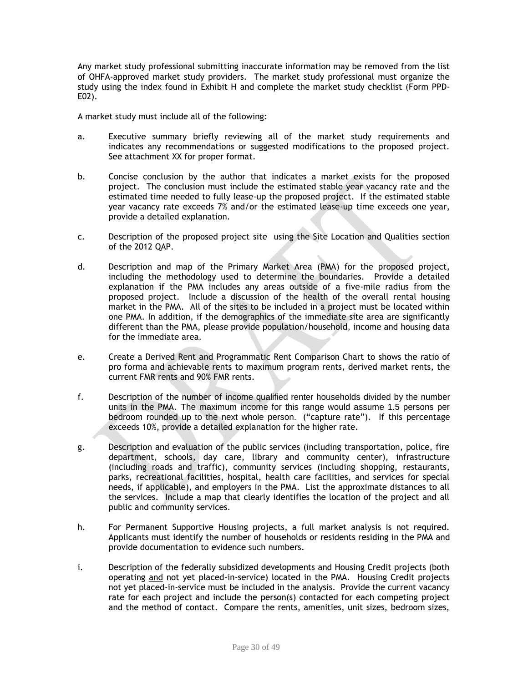Any market study professional submitting inaccurate information may be removed from the list of OHFA-approved market study providers. The market study professional must organize the study using the index found in Exhibit H and complete the market study checklist (Form PPD-E02).

A market study must include all of the following:

- a. Executive summary briefly reviewing all of the market study requirements and indicates any recommendations or suggested modifications to the proposed project. See attachment XX for proper format.
- b. Concise conclusion by the author that indicates a market exists for the proposed project. The conclusion must include the estimated stable year vacancy rate and the estimated time needed to fully lease-up the proposed project. If the estimated stable year vacancy rate exceeds 7% and/or the estimated lease-up time exceeds one year, provide a detailed explanation.
- c. Description of the proposed project site using the Site Location and Qualities section of the 2012 QAP.
- d. Description and map of the Primary Market Area (PMA) for the proposed project, including the methodology used to determine the boundaries. Provide a detailed explanation if the PMA includes any areas outside of a five-mile radius from the proposed project. Include a discussion of the health of the overall rental housing market in the PMA. All of the sites to be included in a project must be located within one PMA. In addition, if the demographics of the immediate site area are significantly different than the PMA, please provide population/household, income and housing data for the immediate area.
- e. Create a Derived Rent and Programmatic Rent Comparison Chart to shows the ratio of pro forma and achievable rents to maximum program rents, derived market rents, the current FMR rents and 90% FMR rents.
- f. Description of the number of income qualified renter households divided by the number units in the PMA. The maximum income for this range would assume 1.5 persons per bedroom rounded up to the next whole person. ("capture rate"). If this percentage exceeds 10%, provide a detailed explanation for the higher rate.
- g. Description and evaluation of the public services (including transportation, police, fire department, schools, day care, library and community center), infrastructure (including roads and traffic), community services (including shopping, restaurants, parks, recreational facilities, hospital, health care facilities, and services for special needs, if applicable), and employers in the PMA. List the approximate distances to all the services. Include a map that clearly identifies the location of the project and all public and community services.
- h. For Permanent Supportive Housing projects, a full market analysis is not required. Applicants must identify the number of households or residents residing in the PMA and provide documentation to evidence such numbers.
- i. Description of the federally subsidized developments and Housing Credit projects (both operating and not yet placed-in-service) located in the PMA. Housing Credit projects not yet placed-in-service must be included in the analysis. Provide the current vacancy rate for each project and include the person(s) contacted for each competing project and the method of contact. Compare the rents, amenities, unit sizes, bedroom sizes,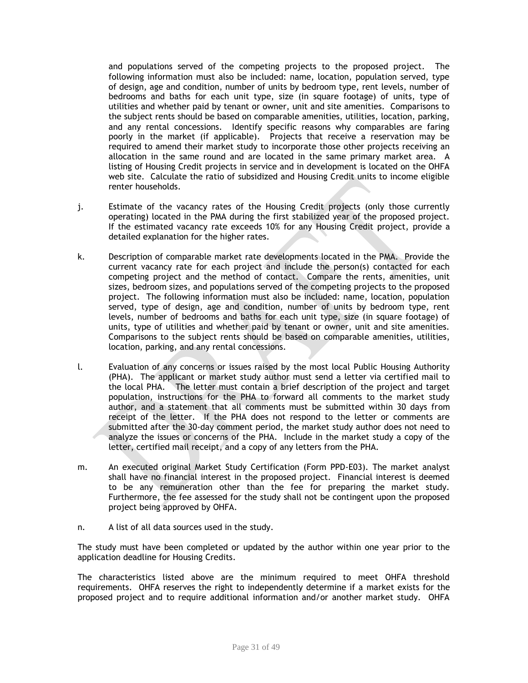and populations served of the competing projects to the proposed project. The following information must also be included: name, location, population served, type of design, age and condition, number of units by bedroom type, rent levels, number of bedrooms and baths for each unit type, size (in square footage) of units, type of utilities and whether paid by tenant or owner, unit and site amenities. Comparisons to the subject rents should be based on comparable amenities, utilities, location, parking, and any rental concessions. Identify specific reasons why comparables are faring poorly in the market (if applicable). Projects that receive a reservation may be required to amend their market study to incorporate those other projects receiving an allocation in the same round and are located in the same primary market area. A listing of Housing Credit projects in service and in development is located on the OHFA web site. Calculate the ratio of subsidized and Housing Credit units to income eligible renter households.

- j. Estimate of the vacancy rates of the Housing Credit projects (only those currently operating) located in the PMA during the first stabilized year of the proposed project. If the estimated vacancy rate exceeds 10% for any Housing Credit project, provide a detailed explanation for the higher rates.
- k. Description of comparable market rate developments located in the PMA. Provide the current vacancy rate for each project and include the person(s) contacted for each competing project and the method of contact. Compare the rents, amenities, unit sizes, bedroom sizes, and populations served of the competing projects to the proposed project. The following information must also be included: name, location, population served, type of design, age and condition, number of units by bedroom type, rent levels, number of bedrooms and baths for each unit type, size (in square footage) of units, type of utilities and whether paid by tenant or owner, unit and site amenities. Comparisons to the subject rents should be based on comparable amenities, utilities, location, parking, and any rental concessions.
- l. Evaluation of any concerns or issues raised by the most local Public Housing Authority (PHA). The applicant or market study author must send a letter via certified mail to the local PHA. The letter must contain a brief description of the project and target population, instructions for the PHA to forward all comments to the market study author, and a statement that all comments must be submitted within 30 days from receipt of the letter. If the PHA does not respond to the letter or comments are submitted after the 30-day comment period, the market study author does not need to analyze the issues or concerns of the PHA. Include in the market study a copy of the letter, certified mail receipt, and a copy of any letters from the PHA.
- m. An executed original Market Study Certification (Form PPD-E03). The market analyst shall have no financial interest in the proposed project. Financial interest is deemed to be any remuneration other than the fee for preparing the market study. Furthermore, the fee assessed for the study shall not be contingent upon the proposed project being approved by OHFA.
- n. A list of all data sources used in the study.

The study must have been completed or updated by the author within one year prior to the application deadline for Housing Credits.

The characteristics listed above are the minimum required to meet OHFA threshold requirements. OHFA reserves the right to independently determine if a market exists for the proposed project and to require additional information and/or another market study. OHFA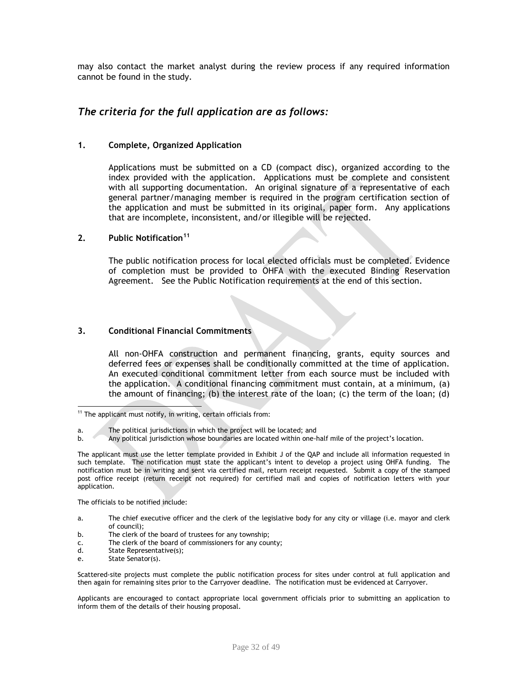may also contact the market analyst during the review process if any required information cannot be found in the study.

# *The criteria for the full application are as follows:*

#### **1. Complete, Organized Application**

Applications must be submitted on a CD (compact disc), organized according to the index provided with the application. Applications must be complete and consistent with all supporting documentation. An original signature of a representative of each general partner/managing member is required in the program certification section of the application and must be submitted in its original, paper form. Any applications that are incomplete, inconsistent, and/or illegible will be rejected.

#### **2. Public Notification<sup>11</sup>**

The public notification process for local elected officials must be completed. Evidence of completion must be provided to OHFA with the executed Binding Reservation Agreement. See the Public Notification requirements at the end of this section.

#### **3. Conditional Financial Commitments**

All non-OHFA construction and permanent financing, grants, equity sources and deferred fees or expenses shall be conditionally committed at the time of application. An executed conditional commitment letter from each source must be included with the application. A conditional financing commitment must contain, at a minimum, (a) the amount of financing; (b) the interest rate of the loan; (c) the term of the loan; (d)

The officials to be notified include:

- a. The chief executive officer and the clerk of the legislative body for any city or village (i.e. mayor and clerk of council);
- b. The clerk of the board of trustees for any township;
- c. The clerk of the board of commissioners for any county;
- d. State Representative(s);
- e. State Senator(s).

Scattered-site projects must complete the public notification process for sites under control at full application and then again for remaining sites prior to the Carryover deadline. The notification must be evidenced at Carryover.

Applicants are encouraged to contact appropriate local government officials prior to submitting an application to inform them of the details of their housing proposal.

 $\overline{\phantom{a}}$  $11$  The applicant must notify, in writing, certain officials from:

a. The political jurisdictions in which the project will be located; and

b. Any political jurisdiction whose boundaries are located within one-half mile of the project's location.

The applicant must use the letter template provided in Exhibit J of the QAP and include all information requested in such template.The notification must state the applicant's intent to develop a project using OHFA funding. The notification must be in writing and sent via certified mail, return receipt requested. Submit a copy of the stamped post office receipt (return receipt not required) for certified mail and copies of notification letters with your application.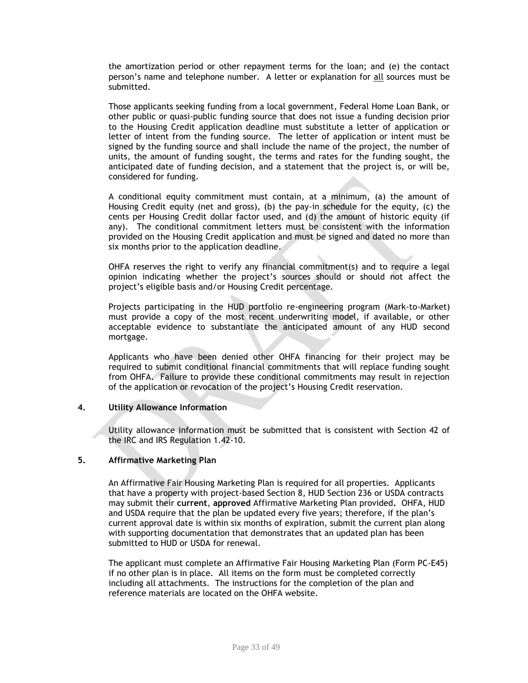the amortization period or other repayment terms for the loan; and (e) the contact person's name and telephone number. A letter or explanation for all sources must be submitted.

Those applicants seeking funding from a local government, Federal Home Loan Bank, or other public or quasi-public funding source that does not issue a funding decision prior to the Housing Credit application deadline must substitute a letter of application or letter of intent from the funding source. The letter of application or intent must be signed by the funding source and shall include the name of the project, the number of units, the amount of funding sought, the terms and rates for the funding sought, the anticipated date of funding decision, and a statement that the project is, or will be, considered for funding.

A conditional equity commitment must contain, at a minimum, (a) the amount of Housing Credit equity (net and gross), (b) the pay-in schedule for the equity, (c) the cents per Housing Credit dollar factor used, and (d) the amount of historic equity (if any). The conditional commitment letters must be consistent with the information provided on the Housing Credit application and must be signed and dated no more than six months prior to the application deadline.

OHFA reserves the right to verify any financial commitment(s) and to require a legal opinion indicating whether the project's sources should or should not affect the project's eligible basis and/or Housing Credit percentage.

Projects participating in the HUD portfolio re-engineering program (Mark-to-Market) must provide a copy of the most recent underwriting model, if available, or other acceptable evidence to substantiate the anticipated amount of any HUD second mortgage.

Applicants who have been denied other OHFA financing for their project may be required to submit conditional financial commitments that will replace funding sought from OHFA. Failure to provide these conditional commitments may result in rejection of the application or revocation of the project's Housing Credit reservation.

#### **4. Utility Allowance Information**

Utility allowance information must be submitted that is consistent with Section 42 of the IRC and IRS Regulation 1.42-10.

#### **5. Affirmative Marketing Plan**

An Affirmative Fair Housing Marketing Plan is required for all properties. Applicants that have a property with project-based Section 8, HUD Section 236 or USDA contracts may submit their **current**, **approved** Affirmative Marketing Plan provided**.** OHFA, HUD and USDA require that the plan be updated every five years; therefore, if the plan's current approval date is within six months of expiration, submit the current plan along with supporting documentation that demonstrates that an updated plan has been submitted to HUD or USDA for renewal.

The applicant must complete an Affirmative Fair Housing Marketing Plan (Form PC-E45) if no other plan is in place. All items on the form must be completed correctly including all attachments.The instructions for the completion of the plan and reference materials are located on the OHFA website.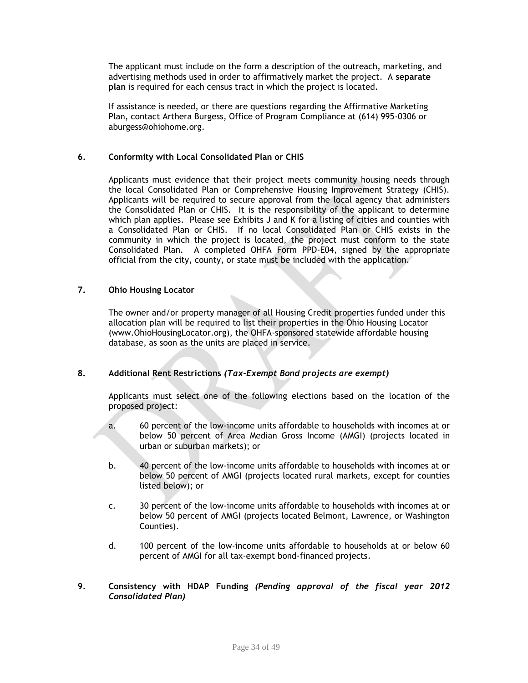The applicant must include on the form a description of the outreach, marketing, and advertising methods used in order to affirmatively market the project. A **separate plan** is required for each census tract in which the project is located.

If assistance is needed, or there are questions regarding the Affirmative Marketing Plan, contact Arthera Burgess, Office of Program Compliance at (614) 995-0306 or aburgess@ohiohome.org.

#### **6***.* **Conformity with Local Consolidated Plan or CHIS**

Applicants must evidence that their project meets community housing needs through the local Consolidated Plan or Comprehensive Housing Improvement Strategy (CHIS). Applicants will be required to secure approval from the local agency that administers the Consolidated Plan or CHIS. It is the responsibility of the applicant to determine which plan applies. Please see Exhibits J and K for a listing of cities and counties with a Consolidated Plan or CHIS. If no local Consolidated Plan or CHIS exists in the community in which the project is located, the project must conform to the state Consolidated Plan. A completed OHFA Form PPD-E04, signed by the appropriate official from the city, county, or state must be included with the application.

### **7. Ohio Housing Locator**

The owner and/or property manager of all Housing Credit properties funded under this allocation plan will be required to list their properties in the Ohio Housing Locator (www.OhioHousingLocator.org), the OHFA-sponsored statewide affordable housing database, as soon as the units are placed in service.

## **8. Additional Rent Restrictions** *(Tax-Exempt Bond projects are exempt)*

Applicants must select one of the following elections based on the location of the proposed project:

- a. 60 percent of the low-income units affordable to households with incomes at or below 50 percent of Area Median Gross Income (AMGI) (projects located in urban or suburban markets); or
- b. 40 percent of the low-income units affordable to households with incomes at or below 50 percent of AMGI (projects located rural markets, except for counties listed below); or
- c. 30 percent of the low-income units affordable to households with incomes at or below 50 percent of AMGI (projects located Belmont, Lawrence, or Washington Counties).
- d. 100 percent of the low-income units affordable to households at or below 60 percent of AMGI for all tax-exempt bond-financed projects.

#### **9***.* **Consistency with HDAP Funding** *(Pending approval of the fiscal year 2012 Consolidated Plan)*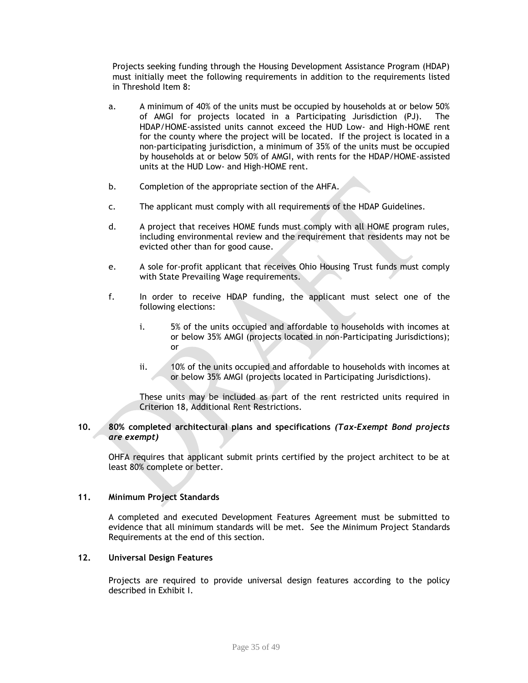Projects seeking funding through the Housing Development Assistance Program (HDAP) must initially meet the following requirements in addition to the requirements listed in Threshold Item 8:

- a. A minimum of 40% of the units must be occupied by households at or below 50% of AMGI for projects located in a Participating Jurisdiction (PJ). The HDAP/HOME-assisted units cannot exceed the HUD Low- and High-HOME rent for the county where the project will be located. If the project is located in a non-participating jurisdiction, a minimum of 35% of the units must be occupied by households at or below 50% of AMGI, with rents for the HDAP/HOME-assisted units at the HUD Low- and High-HOME rent.
- b. Completion of the appropriate section of the AHFA.
- c. The applicant must comply with all requirements of the HDAP Guidelines.
- d. A project that receives HOME funds must comply with all HOME program rules, including environmental review and the requirement that residents may not be evicted other than for good cause.
- e. A sole for-profit applicant that receives Ohio Housing Trust funds must comply with State Prevailing Wage requirements.
- f. In order to receive HDAP funding, the applicant must select one of the following elections:
	- i. 5% of the units occupied and affordable to households with incomes at or below 35% AMGI (projects located in non-Participating Jurisdictions); or
	- ii. 10% of the units occupied and affordable to households with incomes at or below 35% AMGI (projects located in Participating Jurisdictions).

These units may be included as part of the rent restricted units required in Criterion 18, Additional Rent Restrictions.

#### **10. 80% completed architectural plans and specifications** *(Tax-Exempt Bond projects are exempt)*

OHFA requires that applicant submit prints certified by the project architect to be at least 80% complete or better.

### **11. Minimum Project Standards**

A completed and executed Development Features Agreement must be submitted to evidence that all minimum standards will be met. See the Minimum Project Standards Requirements at the end of this section.

#### **12. Universal Design Features**

Projects are required to provide universal design features according to the policy described in Exhibit I.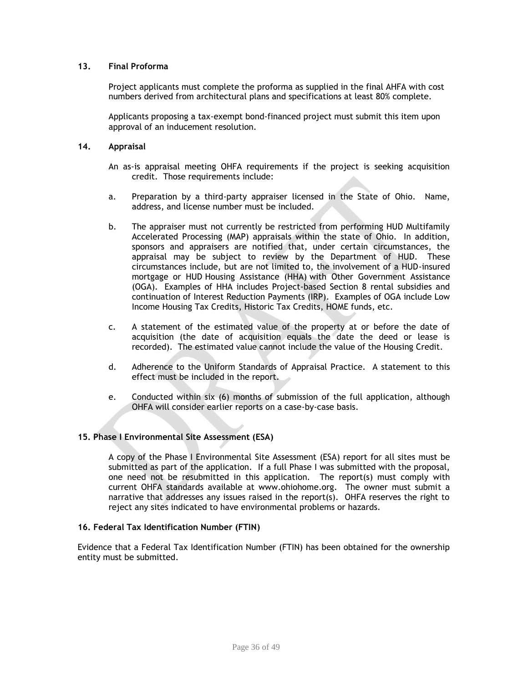### **13. Final Proforma**

Project applicants must complete the proforma as supplied in the final AHFA with cost numbers derived from architectural plans and specifications at least 80% complete.

Applicants proposing a tax-exempt bond-financed project must submit this item upon approval of an inducement resolution.

#### **14. Appraisal**

- An as-is appraisal meeting OHFA requirements if the project is seeking acquisition credit. Those requirements include:
- a. Preparation by a third-party appraiser licensed in the State of Ohio. Name, address, and license number must be included.
- b. The appraiser must not currently be restricted from performing HUD Multifamily Accelerated Processing (MAP) appraisals within the state of Ohio. In addition, sponsors and appraisers are notified that, under certain circumstances, the appraisal may be subject to review by the Department of HUD. These circumstances include, but are not limited to, the involvement of a HUD-insured mortgage or HUD Housing Assistance (HHA) with Other Government Assistance (OGA). Examples of HHA includes Project-based Section 8 rental subsidies and continuation of Interest Reduction Payments (IRP). Examples of OGA include Low Income Housing Tax Credits, Historic Tax Credits, HOME funds, etc.
- c. A statement of the estimated value of the property at or before the date of acquisition (the date of acquisition equals the date the deed or lease is recorded). The estimated value cannot include the value of the Housing Credit.
- d. Adherence to the Uniform Standards of Appraisal Practice. A statement to this effect must be included in the report.
- e. Conducted within six (6) months of submission of the full application, although OHFA will consider earlier reports on a case-by-case basis.

#### **15. Phase I Environmental Site Assessment (ESA)**

A copy of the Phase I Environmental Site Assessment (ESA) report for all sites must be submitted as part of the application. If a full Phase I was submitted with the proposal, one need not be resubmitted in this application. The report(s) must comply with current OHFA standards available at www.ohiohome.org. The owner must submit a narrative that addresses any issues raised in the report(s). OHFA reserves the right to reject any sites indicated to have environmental problems or hazards.

#### **16. Federal Tax Identification Number (FTIN)**

Evidence that a Federal Tax Identification Number (FTIN) has been obtained for the ownership entity must be submitted.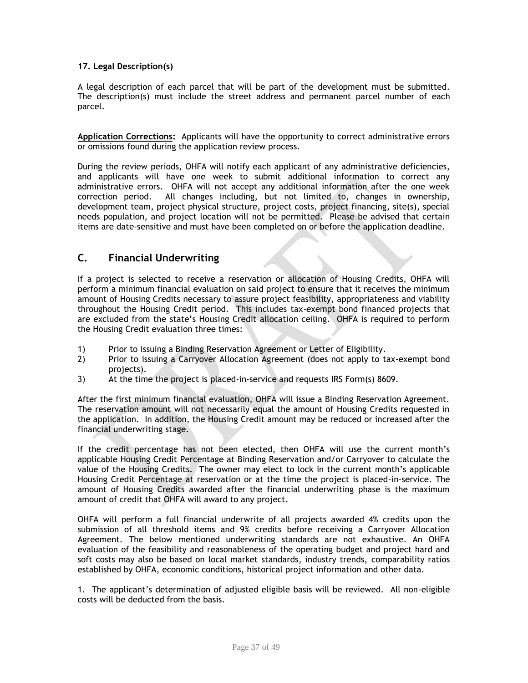## **17. Legal Description(s)**

A legal description of each parcel that will be part of the development must be submitted. The description(s) must include the street address and permanent parcel number of each parcel.

**Application Corrections:** Applicants will have the opportunity to correct administrative errors or omissions found during the application review process.

During the review periods, OHFA will notify each applicant of any administrative deficiencies, and applicants will have one week to submit additional information to correct any administrative errors. OHFA will not accept any additional information after the one week correction period. All changes including, but not limited to, changes in ownership, development team, project physical structure, project costs, project financing, site(s), special needs population, and project location will not be permitted. Please be advised that certain items are date-sensitive and must have been completed on or before the application deadline.

# **C. Financial Underwriting**

If a project is selected to receive a reservation or allocation of Housing Credits, OHFA will perform a minimum financial evaluation on said project to ensure that it receives the minimum amount of Housing Credits necessary to assure project feasibility, appropriateness and viability throughout the Housing Credit period. This includes tax-exempt bond financed projects that are excluded from the state's Housing Credit allocation ceiling. OHFA is required to perform the Housing Credit evaluation three times:

- 1) Prior to issuing a Binding Reservation Agreement or Letter of Eligibility.
- 2) Prior to issuing a Carryover Allocation Agreement (does not apply to tax-exempt bond projects).
- 3) At the time the project is placed-in-service and requests IRS Form(s) 8609.

After the first minimum financial evaluation, OHFA will issue a Binding Reservation Agreement. The reservation amount will not necessarily equal the amount of Housing Credits requested in the application. In addition, the Housing Credit amount may be reduced or increased after the financial underwriting stage.

If the credit percentage has not been elected, then OHFA will use the current month's applicable Housing Credit Percentage at Binding Reservation and/or Carryover to calculate the value of the Housing Credits. The owner may elect to lock in the current month's applicable Housing Credit Percentage at reservation or at the time the project is placed-in-service. The amount of Housing Credits awarded after the financial underwriting phase is the maximum amount of credit that OHFA will award to any project.

OHFA will perform a full financial underwrite of all projects awarded 4% credits upon the submission of all threshold items and 9% credits before receiving a Carryover Allocation Agreement. The below mentioned underwriting standards are not exhaustive. An OHFA evaluation of the feasibility and reasonableness of the operating budget and project hard and soft costs may also be based on local market standards, industry trends, comparability ratios established by OHFA, economic conditions, historical project information and other data.

1. The applicant's determination of adjusted eligible basis will be reviewed. All non-eligible costs will be deducted from the basis.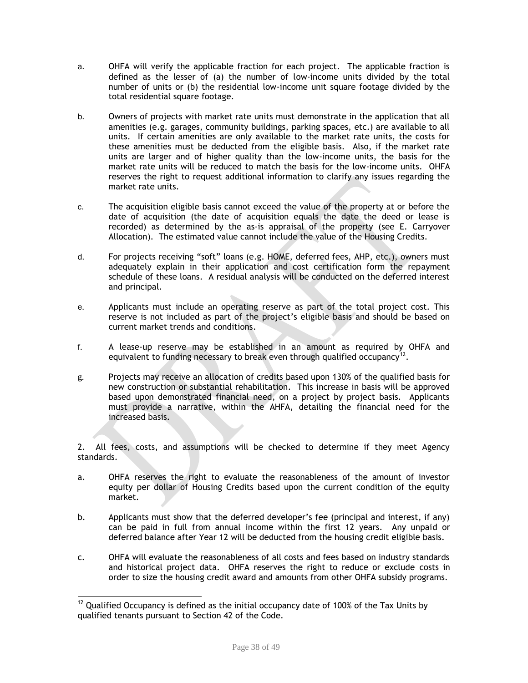- a. OHFA will verify the applicable fraction for each project. The applicable fraction is defined as the lesser of (a) the number of low-income units divided by the total number of units or (b) the residential low-income unit square footage divided by the total residential square footage.
- b. Owners of projects with market rate units must demonstrate in the application that all amenities (e.g. garages, community buildings, parking spaces, etc.) are available to all units. If certain amenities are only available to the market rate units, the costs for these amenities must be deducted from the eligible basis. Also, if the market rate units are larger and of higher quality than the low-income units, the basis for the market rate units will be reduced to match the basis for the low-income units. OHFA reserves the right to request additional information to clarify any issues regarding the market rate units.
- c. The acquisition eligible basis cannot exceed the value of the property at or before the date of acquisition (the date of acquisition equals the date the deed or lease is recorded) as determined by the as-is appraisal of the property (see E. Carryover Allocation). The estimated value cannot include the value of the Housing Credits.
- d. For projects receiving "soft" loans (e.g. HOME, deferred fees, AHP, etc.), owners must adequately explain in their application and cost certification form the repayment schedule of these loans. A residual analysis will be conducted on the deferred interest and principal.
- e. Applicants must include an operating reserve as part of the total project cost. This reserve is not included as part of the project's eligible basis and should be based on current market trends and conditions.
- f. A lease-up reserve may be established in an amount as required by OHFA and equivalent to funding necessary to break even through qualified occupancy<sup>12</sup>.
- g. Projects may receive an allocation of credits based upon 130% of the qualified basis for new construction or substantial rehabilitation. This increase in basis will be approved based upon demonstrated financial need, on a project by project basis. Applicants must provide a narrative, within the AHFA, detailing the financial need for the increased basis.

2. All fees, costs, and assumptions will be checked to determine if they meet Agency standards.

- a. OHFA reserves the right to evaluate the reasonableness of the amount of investor equity per dollar of Housing Credits based upon the current condition of the equity market.
- b. Applicants must show that the deferred developer's fee (principal and interest, if any) can be paid in full from annual income within the first 12 years. Any unpaid or deferred balance after Year 12 will be deducted from the housing credit eligible basis.
- c. OHFA will evaluate the reasonableness of all costs and fees based on industry standards and historical project data. OHFA reserves the right to reduce or exclude costs in order to size the housing credit award and amounts from other OHFA subsidy programs.

l  $12$  Qualified Occupancy is defined as the initial occupancy date of 100% of the Tax Units by qualified tenants pursuant to Section 42 of the Code.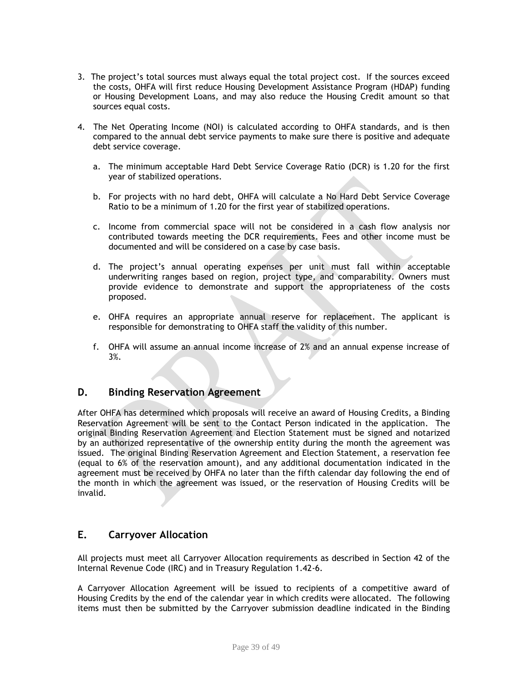- 3. The project's total sources must always equal the total project cost. If the sources exceed the costs, OHFA will first reduce Housing Development Assistance Program (HDAP) funding or Housing Development Loans, and may also reduce the Housing Credit amount so that sources equal costs.
- 4. The Net Operating Income (NOI) is calculated according to OHFA standards, and is then compared to the annual debt service payments to make sure there is positive and adequate debt service coverage.
	- a. The minimum acceptable Hard Debt Service Coverage Ratio (DCR) is 1.20 for the first year of stabilized operations.
	- b. For projects with no hard debt, OHFA will calculate a No Hard Debt Service Coverage Ratio to be a minimum of 1.20 for the first year of stabilized operations.
	- c. Income from commercial space will not be considered in a cash flow analysis nor contributed towards meeting the DCR requirements. Fees and other income must be documented and will be considered on a case by case basis.
	- d. The project's annual operating expenses per unit must fall within acceptable underwriting ranges based on region, project type, and comparability. Owners must provide evidence to demonstrate and support the appropriateness of the costs proposed.
	- e. OHFA requires an appropriate annual reserve for replacement. The applicant is responsible for demonstrating to OHFA staff the validity of this number.
	- f. OHFA will assume an annual income increase of 2% and an annual expense increase of 3%.

# **D. Binding Reservation Agreement**

After OHFA has determined which proposals will receive an award of Housing Credits, a Binding Reservation Agreement will be sent to the Contact Person indicated in the application. The original Binding Reservation Agreement and Election Statement must be signed and notarized by an authorized representative of the ownership entity during the month the agreement was issued. The original Binding Reservation Agreement and Election Statement, a reservation fee (equal to 6% of the reservation amount), and any additional documentation indicated in the agreement must be received by OHFA no later than the fifth calendar day following the end of the month in which the agreement was issued, or the reservation of Housing Credits will be invalid.

# **E. Carryover Allocation**

All projects must meet all Carryover Allocation requirements as described in Section 42 of the Internal Revenue Code (IRC) and in Treasury Regulation 1.42-6.

A Carryover Allocation Agreement will be issued to recipients of a competitive award of Housing Credits by the end of the calendar year in which credits were allocated. The following items must then be submitted by the Carryover submission deadline indicated in the Binding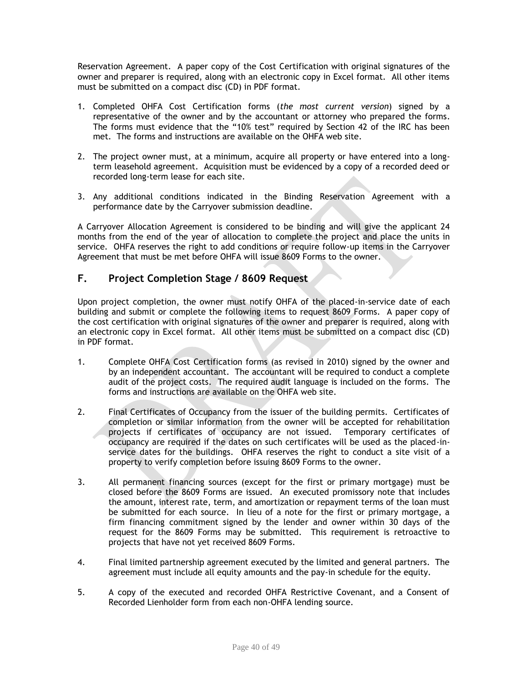Reservation Agreement. A paper copy of the Cost Certification with original signatures of the owner and preparer is required, along with an electronic copy in Excel format. All other items must be submitted on a compact disc (CD) in PDF format.

- 1. Completed OHFA Cost Certification forms (*the most current version*) signed by a representative of the owner and by the accountant or attorney who prepared the forms. The forms must evidence that the "10% test" required by Section 42 of the IRC has been met. The forms and instructions are available on the OHFA web site.
- 2. The project owner must, at a minimum, acquire all property or have entered into a longterm leasehold agreement. Acquisition must be evidenced by a copy of a recorded deed or recorded long-term lease for each site.
- 3. Any additional conditions indicated in the Binding Reservation Agreement with a performance date by the Carryover submission deadline.

A Carryover Allocation Agreement is considered to be binding and will give the applicant 24 months from the end of the year of allocation to complete the project and place the units in service. OHFA reserves the right to add conditions or require follow-up items in the Carryover Agreement that must be met before OHFA will issue 8609 Forms to the owner.

# **F. Project Completion Stage / 8609 Request**

Upon project completion, the owner must notify OHFA of the placed-in-service date of each building and submit or complete the following items to request 8609 Forms. A paper copy of the cost certification with original signatures of the owner and preparer is required, along with an electronic copy in Excel format. All other items must be submitted on a compact disc (CD) in PDF format.

- 1. Complete OHFA Cost Certification forms (as revised in 2010) signed by the owner and by an independent accountant. The accountant will be required to conduct a complete audit of the project costs. The required audit language is included on the forms. The forms and instructions are available on the OHFA web site.
- 2. Final Certificates of Occupancy from the issuer of the building permits. Certificates of completion or similar information from the owner will be accepted for rehabilitation projects if certificates of occupancy are not issued. Temporary certificates of occupancy are required if the dates on such certificates will be used as the placed-inservice dates for the buildings. OHFA reserves the right to conduct a site visit of a property to verify completion before issuing 8609 Forms to the owner.
- 3. All permanent financing sources (except for the first or primary mortgage) must be closed before the 8609 Forms are issued. An executed promissory note that includes the amount, interest rate, term, and amortization or repayment terms of the loan must be submitted for each source. In lieu of a note for the first or primary mortgage, a firm financing commitment signed by the lender and owner within 30 days of the request for the 8609 Forms may be submitted. This requirement is retroactive to projects that have not yet received 8609 Forms.
- 4. Final limited partnership agreement executed by the limited and general partners. The agreement must include all equity amounts and the pay-in schedule for the equity.
- 5. A copy of the executed and recorded OHFA Restrictive Covenant, and a Consent of Recorded Lienholder form from each non-OHFA lending source.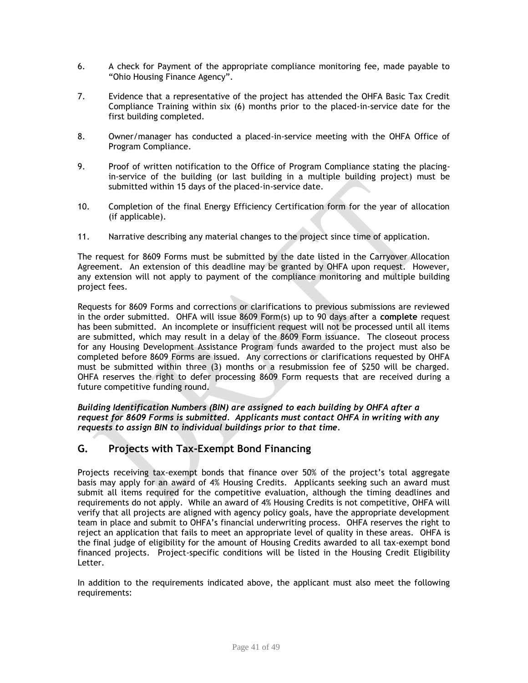- 6. A check for Payment of the appropriate compliance monitoring fee, made payable to "Ohio Housing Finance Agency".
- 7. Evidence that a representative of the project has attended the OHFA Basic Tax Credit Compliance Training within six (6) months prior to the placed-in-service date for the first building completed.
- 8. Owner/manager has conducted a placed-in-service meeting with the OHFA Office of Program Compliance.
- 9. Proof of written notification to the Office of Program Compliance stating the placingin-service of the building (or last building in a multiple building project) must be submitted within 15 days of the placed-in-service date.
- 10. Completion of the final Energy Efficiency Certification form for the year of allocation (if applicable).
- 11. Narrative describing any material changes to the project since time of application.

The request for 8609 Forms must be submitted by the date listed in the Carryover Allocation Agreement. An extension of this deadline may be granted by OHFA upon request. However, any extension will not apply to payment of the compliance monitoring and multiple building project fees.

Requests for 8609 Forms and corrections or clarifications to previous submissions are reviewed in the order submitted. OHFA will issue 8609 Form(s) up to 90 days after a **complete** request has been submitted. An incomplete or insufficient request will not be processed until all items are submitted, which may result in a delay of the 8609 Form issuance. The closeout process for any Housing Development Assistance Program funds awarded to the project must also be completed before 8609 Forms are issued. Any corrections or clarifications requested by OHFA must be submitted within three (3) months or a resubmission fee of \$250 will be charged. OHFA reserves the right to defer processing 8609 Form requests that are received during a future competitive funding round.

*Building Identification Numbers (BIN) are assigned to each building by OHFA after a request for 8609 Forms is submitted. Applicants must contact OHFA in writing with any requests to assign BIN to individual buildings prior to that time.*

# **G. Projects with Tax-Exempt Bond Financing**

Projects receiving tax-exempt bonds that finance over 50% of the project's total aggregate basis may apply for an award of 4% Housing Credits. Applicants seeking such an award must submit all items required for the competitive evaluation, although the timing deadlines and requirements do not apply. While an award of 4% Housing Credits is not competitive, OHFA will verify that all projects are aligned with agency policy goals, have the appropriate development team in place and submit to OHFA's financial underwriting process. OHFA reserves the right to reject an application that fails to meet an appropriate level of quality in these areas. OHFA is the final judge of eligibility for the amount of Housing Credits awarded to all tax-exempt bond financed projects. Project-specific conditions will be listed in the Housing Credit Eligibility Letter.

In addition to the requirements indicated above, the applicant must also meet the following requirements: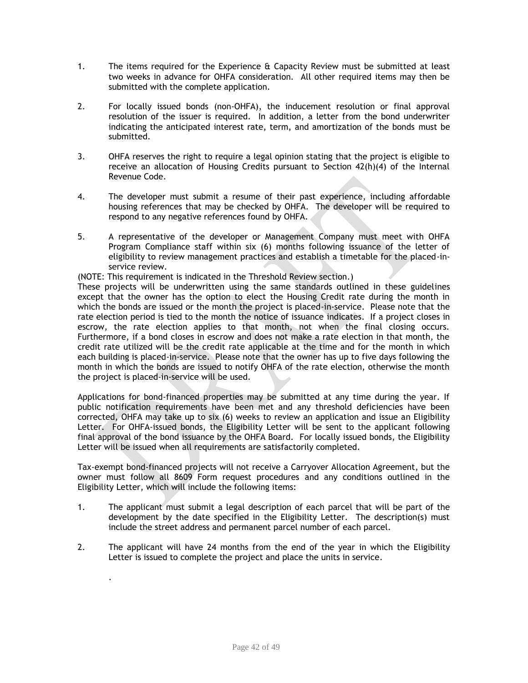- 1. The items required for the Experience & Capacity Review must be submitted at least two weeks in advance for OHFA consideration. All other required items may then be submitted with the complete application.
- 2. For locally issued bonds (non-OHFA), the inducement resolution or final approval resolution of the issuer is required. In addition, a letter from the bond underwriter indicating the anticipated interest rate, term, and amortization of the bonds must be submitted.
- 3. OHFA reserves the right to require a legal opinion stating that the project is eligible to receive an allocation of Housing Credits pursuant to Section  $42(h)(4)$  of the Internal Revenue Code.
- 4. The developer must submit a resume of their past experience, including affordable housing references that may be checked by OHFA. The developer will be required to respond to any negative references found by OHFA.
- 5. A representative of the developer or Management Company must meet with OHFA Program Compliance staff within six (6) months following issuance of the letter of eligibility to review management practices and establish a timetable for the placed-inservice review.

(NOTE: This requirement is indicated in the Threshold Review section.)

These projects will be underwritten using the same standards outlined in these guidelines except that the owner has the option to elect the Housing Credit rate during the month in which the bonds are issued or the month the project is placed-in-service. Please note that the rate election period is tied to the month the notice of issuance indicates. If a project closes in escrow, the rate election applies to that month, not when the final closing occurs. Furthermore, if a bond closes in escrow and does not make a rate election in that month, the credit rate utilized will be the credit rate applicable at the time and for the month in which each building is placed-in-service. Please note that the owner has up to five days following the month in which the bonds are issued to notify OHFA of the rate election, otherwise the month the project is placed-in-service will be used.

Applications for bond-financed properties may be submitted at any time during the year. If public notification requirements have been met and any threshold deficiencies have been corrected, OHFA may take up to six (6) weeks to review an application and issue an Eligibility Letter. For OHFA-issued bonds, the Eligibility Letter will be sent to the applicant following final approval of the bond issuance by the OHFA Board. For locally issued bonds, the Eligibility Letter will be issued when all requirements are satisfactorily completed.

Tax-exempt bond-financed projects will not receive a Carryover Allocation Agreement, but the owner must follow all 8609 Form request procedures and any conditions outlined in the Eligibility Letter, which will include the following items:

- 1. The applicant must submit a legal description of each parcel that will be part of the development by the date specified in the Eligibility Letter. The description(s) must include the street address and permanent parcel number of each parcel.
- 2. The applicant will have 24 months from the end of the year in which the Eligibility Letter is issued to complete the project and place the units in service.

.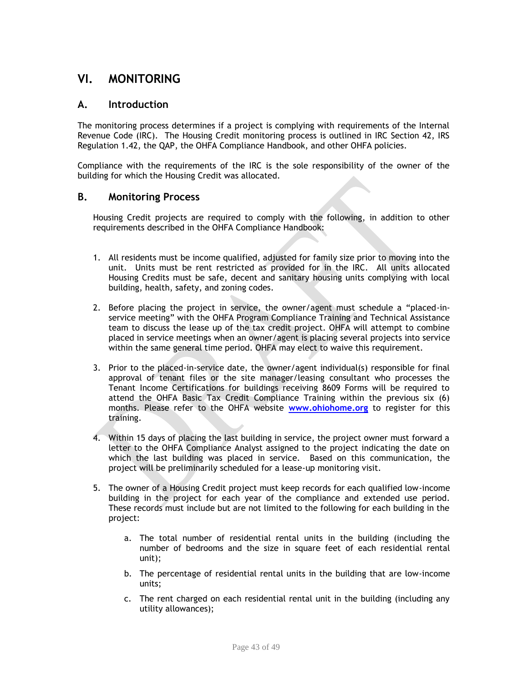# **VI. MONITORING**

# **A. Introduction**

The monitoring process determines if a project is complying with requirements of the Internal Revenue Code (IRC). The Housing Credit monitoring process is outlined in IRC Section 42, IRS Regulation 1.42, the QAP, the OHFA Compliance Handbook, and other OHFA policies.

Compliance with the requirements of the IRC is the sole responsibility of the owner of the building for which the Housing Credit was allocated.

## **B. Monitoring Process**

Housing Credit projects are required to comply with the following, in addition to other requirements described in the OHFA Compliance Handbook:

- 1. All residents must be income qualified, adjusted for family size prior to moving into the unit. Units must be rent restricted as provided for in the IRC. All units allocated Housing Credits must be safe, decent and sanitary housing units complying with local building, health, safety, and zoning codes.
- 2. Before placing the project in service, the owner/agent must schedule a "placed-inservice meeting" with the OHFA Program Compliance Training and Technical Assistance team to discuss the lease up of the tax credit project. OHFA will attempt to combine placed in service meetings when an owner/agent is placing several projects into service within the same general time period. OHFA may elect to waive this requirement.
- 3. Prior to the placed-in-service date, the owner/agent individual(s) responsible for final approval of tenant files or the site manager/leasing consultant who processes the Tenant Income Certifications for buildings receiving 8609 Forms will be required to attend the OHFA Basic Tax Credit Compliance Training within the previous six (6) months. Please refer to the OHFA website **[www.ohiohome.org](http://www.ohiohome.org/)** to register for this training.
- 4. Within 15 days of placing the last building in service, the project owner must forward a letter to the OHFA Compliance Analyst assigned to the project indicating the date on which the last building was placed in service. Based on this communication, the project will be preliminarily scheduled for a lease-up monitoring visit.
- 5. The owner of a Housing Credit project must keep records for each qualified low-income building in the project for each year of the compliance and extended use period. These records must include but are not limited to the following for each building in the project:
	- a. The total number of residential rental units in the building (including the number of bedrooms and the size in square feet of each residential rental unit);
	- b. The percentage of residential rental units in the building that are low-income units;
	- c. The rent charged on each residential rental unit in the building (including any utility allowances);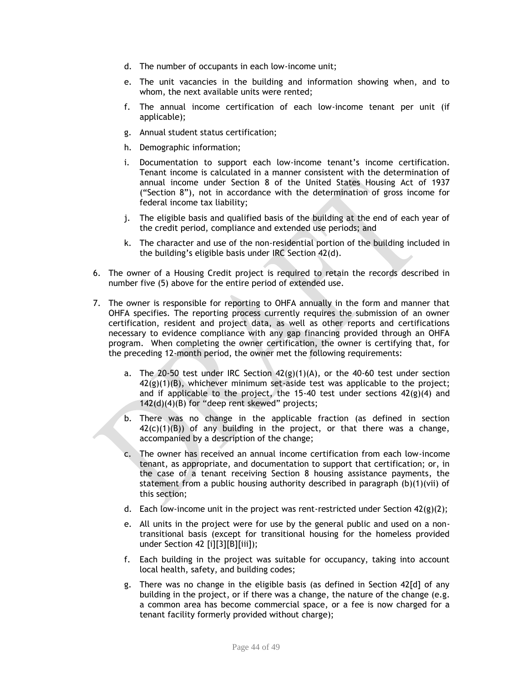- d. The number of occupants in each low-income unit;
- e. The unit vacancies in the building and information showing when, and to whom, the next available units were rented;
- f. The annual income certification of each low-income tenant per unit (if applicable);
- g. Annual student status certification;
- h. Demographic information;
- i. Documentation to support each low-income tenant's income certification. Tenant income is calculated in a manner consistent with the determination of annual income under Section 8 of the United States Housing Act of 1937 ("Section 8"), not in accordance with the determination of gross income for federal income tax liability;
- j. The eligible basis and qualified basis of the building at the end of each year of the credit period, compliance and extended use periods; and
- k. The character and use of the non-residential portion of the building included in the building's eligible basis under IRC Section 42(d).
- 6. The owner of a Housing Credit project is required to retain the records described in number five (5) above for the entire period of extended use.
- 7. The owner is responsible for reporting to OHFA annually in the form and manner that OHFA specifies. The reporting process currently requires the submission of an owner certification, resident and project data, as well as other reports and certifications necessary to evidence compliance with any gap financing provided through an OHFA program. When completing the owner certification, the owner is certifying that, for the preceding 12-month period, the owner met the following requirements:
	- a. The 20-50 test under IRC Section  $42(g)(1)(A)$ , or the 40-60 test under section 42(g)(1)(B), whichever minimum set-aside test was applicable to the project; and if applicable to the project, the 15-40 test under sections  $42(g)(4)$  and 142(d)(4)(B) for "deep rent skewed" projects;
	- b. There was no change in the applicable fraction (as defined in section  $42(c)(1)(B)$  of any building in the project, or that there was a change, accompanied by a description of the change;
	- c. The owner has received an annual income certification from each low-income tenant, as appropriate, and documentation to support that certification; or, in the case of a tenant receiving Section 8 housing assistance payments, the statement from a public housing authority described in paragraph (b)(1)(vii) of this section;
	- d. Each low-income unit in the project was rent-restricted under Section  $42(g)(2)$ ;
	- e. All units in the project were for use by the general public and used on a nontransitional basis (except for transitional housing for the homeless provided under Section 42 [i][3][B][iii]);
	- f. Each building in the project was suitable for occupancy, taking into account local health, safety, and building codes;
	- g. There was no change in the eligible basis (as defined in Section 42[d] of any building in the project, or if there was a change, the nature of the change (e.g. a common area has become commercial space, or a fee is now charged for a tenant facility formerly provided without charge);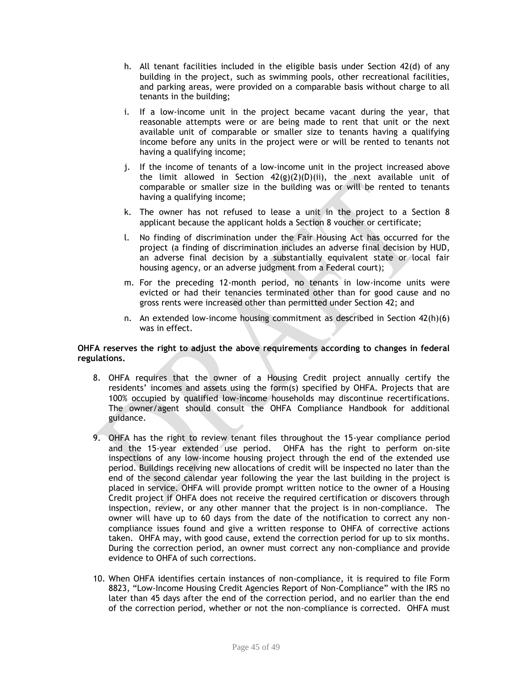- h. All tenant facilities included in the eligible basis under Section 42(d) of any building in the project, such as swimming pools, other recreational facilities, and parking areas, were provided on a comparable basis without charge to all tenants in the building;
- i. If a low-income unit in the project became vacant during the year, that reasonable attempts were or are being made to rent that unit or the next available unit of comparable or smaller size to tenants having a qualifying income before any units in the project were or will be rented to tenants not having a qualifying income;
- j. If the income of tenants of a low-income unit in the project increased above the limit allowed in Section  $42(g)(2)(D)(ii)$ , the next available unit of comparable or smaller size in the building was or will be rented to tenants having a qualifying income;
- k. The owner has not refused to lease a unit in the project to a Section 8 applicant because the applicant holds a Section 8 voucher or certificate;
- l. No finding of discrimination under the Fair Housing Act has occurred for the project (a finding of discrimination includes an adverse final decision by HUD, an adverse final decision by a substantially equivalent state or local fair housing agency, or an adverse judgment from a Federal court);
- m. For the preceding 12-month period, no tenants in low-income units were evicted or had their tenancies terminated other than for good cause and no gross rents were increased other than permitted under Section 42; and
- n. An extended low-income housing commitment as described in Section 42(h)(6) was in effect.

#### **OHFA reserves the right to adjust the above requirements according to changes in federal regulations.**

- 8. OHFA requires that the owner of a Housing Credit project annually certify the residents' incomes and assets using the form(s) specified by OHFA. Projects that are 100% occupied by qualified low-income households may discontinue recertifications. The owner/agent should consult the OHFA Compliance Handbook for additional guidance.
- 9. OHFA has the right to review tenant files throughout the 15-year compliance period and the 15-year extended use period. OHFA has the right to perform on-site inspections of any low-income housing project through the end of the extended use period. Buildings receiving new allocations of credit will be inspected no later than the end of the second calendar year following the year the last building in the project is placed in service. OHFA will provide prompt written notice to the owner of a Housing Credit project if OHFA does not receive the required certification or discovers through inspection, review, or any other manner that the project is in non-compliance. The owner will have up to 60 days from the date of the notification to correct any noncompliance issues found and give a written response to OHFA of corrective actions taken. OHFA may, with good cause, extend the correction period for up to six months. During the correction period, an owner must correct any non-compliance and provide evidence to OHFA of such corrections.
- 10. When OHFA identifies certain instances of non-compliance, it is required to file Form 8823, "Low-Income Housing Credit Agencies Report of Non-Compliance" with the IRS no later than 45 days after the end of the correction period, and no earlier than the end of the correction period, whether or not the non-compliance is corrected. OHFA must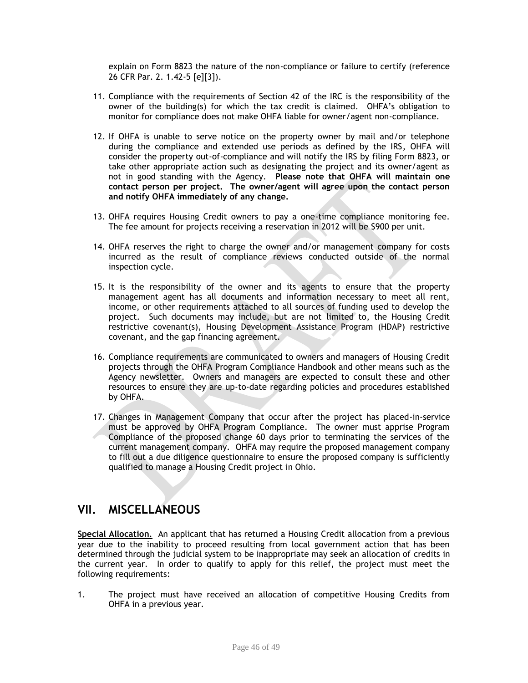explain on Form 8823 the nature of the non-compliance or failure to certify (reference 26 CFR Par. 2. 1.42-5 [e][3]).

- 11. Compliance with the requirements of Section 42 of the IRC is the responsibility of the owner of the building(s) for which the tax credit is claimed. OHFA's obligation to monitor for compliance does not make OHFA liable for owner/agent non-compliance.
- 12. If OHFA is unable to serve notice on the property owner by mail and/or telephone during the compliance and extended use periods as defined by the IRS, OHFA will consider the property out-of-compliance and will notify the IRS by filing Form 8823, or take other appropriate action such as designating the project and its owner/agent as not in good standing with the Agency. **Please note that OHFA will maintain one contact person per project. The owner/agent will agree upon the contact person and notify OHFA immediately of any change.**
- 13. OHFA requires Housing Credit owners to pay a one-time compliance monitoring fee. The fee amount for projects receiving a reservation in 2012 will be \$900 per unit.
- 14. OHFA reserves the right to charge the owner and/or management company for costs incurred as the result of compliance reviews conducted outside of the normal inspection cycle.
- 15. It is the responsibility of the owner and its agents to ensure that the property management agent has all documents and information necessary to meet all rent, income, or other requirements attached to all sources of funding used to develop the project. Such documents may include, but are not limited to, the Housing Credit restrictive covenant(s), Housing Development Assistance Program (HDAP) restrictive covenant, and the gap financing agreement.
- 16. Compliance requirements are communicated to owners and managers of Housing Credit projects through the OHFA Program Compliance Handbook and other means such as the Agency newsletter. Owners and managers are expected to consult these and other resources to ensure they are up-to-date regarding policies and procedures established by OHFA.
- 17. Changes in Management Company that occur after the project has placed-in-service must be approved by OHFA Program Compliance. The owner must apprise Program Compliance of the proposed change 60 days prior to terminating the services of the current management company. OHFA may require the proposed management company to fill out a due diligence questionnaire to ensure the proposed company is sufficiently qualified to manage a Housing Credit project in Ohio.

# **VII. MISCELLANEOUS**

**Special Allocation**. An applicant that has returned a Housing Credit allocation from a previous year due to the inability to proceed resulting from local government action that has been determined through the judicial system to be inappropriate may seek an allocation of credits in the current year. In order to qualify to apply for this relief, the project must meet the following requirements:

1. The project must have received an allocation of competitive Housing Credits from OHFA in a previous year.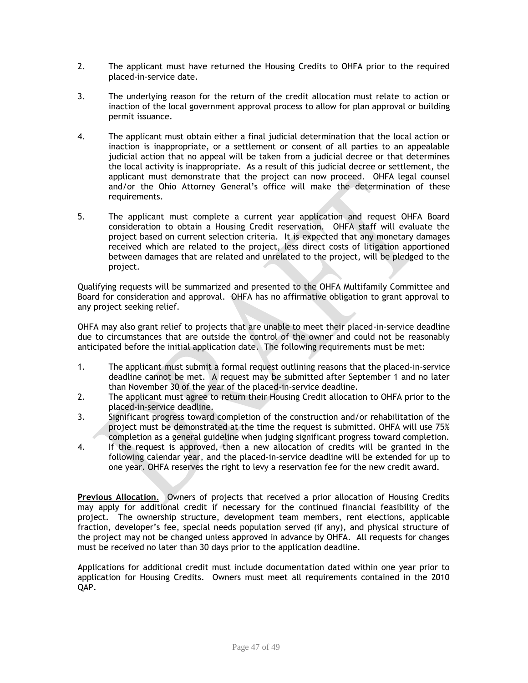- 2. The applicant must have returned the Housing Credits to OHFA prior to the required placed-in-service date.
- 3. The underlying reason for the return of the credit allocation must relate to action or inaction of the local government approval process to allow for plan approval or building permit issuance.
- 4. The applicant must obtain either a final judicial determination that the local action or inaction is inappropriate, or a settlement or consent of all parties to an appealable judicial action that no appeal will be taken from a judicial decree or that determines the local activity is inappropriate. As a result of this judicial decree or settlement, the applicant must demonstrate that the project can now proceed. OHFA legal counsel and/or the Ohio Attorney General's office will make the determination of these requirements.
- 5. The applicant must complete a current year application and request OHFA Board consideration to obtain a Housing Credit reservation. OHFA staff will evaluate the project based on current selection criteria. It is expected that any monetary damages received which are related to the project, less direct costs of litigation apportioned between damages that are related and unrelated to the project, will be pledged to the project.

Qualifying requests will be summarized and presented to the OHFA Multifamily Committee and Board for consideration and approval. OHFA has no affirmative obligation to grant approval to any project seeking relief.

OHFA may also grant relief to projects that are unable to meet their placed-in-service deadline due to circumstances that are outside the control of the owner and could not be reasonably anticipated before the initial application date. The following requirements must be met:

- 1. The applicant must submit a formal request outlining reasons that the placed-in-service deadline cannot be met. A request may be submitted after September 1 and no later than November 30 of the year of the placed-in-service deadline.
- 2. The applicant must agree to return their Housing Credit allocation to OHFA prior to the placed-in-service deadline.
- 3. Significant progress toward completion of the construction and/or rehabilitation of the project must be demonstrated at the time the request is submitted. OHFA will use 75% completion as a general guideline when judging significant progress toward completion.
- 4. If the request is approved, then a new allocation of credits will be granted in the following calendar year, and the placed-in-service deadline will be extended for up to one year. OHFA reserves the right to levy a reservation fee for the new credit award.

**Previous Allocation**. Owners of projects that received a prior allocation of Housing Credits may apply for additional credit if necessary for the continued financial feasibility of the project. The ownership structure, development team members, rent elections, applicable fraction, developer's fee, special needs population served (if any), and physical structure of the project may not be changed unless approved in advance by OHFA. All requests for changes must be received no later than 30 days prior to the application deadline.

Applications for additional credit must include documentation dated within one year prior to application for Housing Credits. Owners must meet all requirements contained in the 2010 QAP.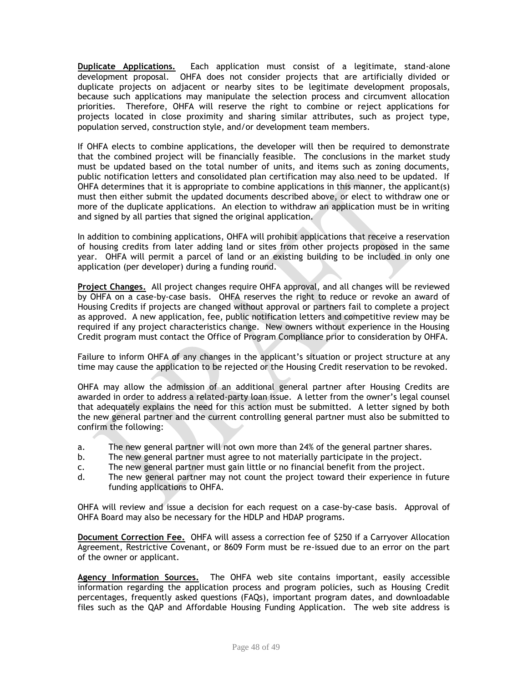**Duplicate Applications.** Each application must consist of a legitimate, stand-alone development proposal. OHFA does not consider projects that are artificially divided or duplicate projects on adjacent or nearby sites to be legitimate development proposals, because such applications may manipulate the selection process and circumvent allocation priorities. Therefore, OHFA will reserve the right to combine or reject applications for projects located in close proximity and sharing similar attributes, such as project type, population served, construction style, and/or development team members.

If OHFA elects to combine applications, the developer will then be required to demonstrate that the combined project will be financially feasible. The conclusions in the market study must be updated based on the total number of units, and items such as zoning documents, public notification letters and consolidated plan certification may also need to be updated. If OHFA determines that it is appropriate to combine applications in this manner, the applicant(s) must then either submit the updated documents described above, or elect to withdraw one or more of the duplicate applications. An election to withdraw an application must be in writing and signed by all parties that signed the original application.

In addition to combining applications, OHFA will prohibit applications that receive a reservation of housing credits from later adding land or sites from other projects proposed in the same year. OHFA will permit a parcel of land or an existing building to be included in only one application (per developer) during a funding round.

**Project Changes.** All project changes require OHFA approval, and all changes will be reviewed by OHFA on a case-by-case basis. OHFA reserves the right to reduce or revoke an award of Housing Credits if projects are changed without approval or partners fail to complete a project as approved. A new application, fee, public notification letters and competitive review may be required if any project characteristics change. New owners without experience in the Housing Credit program must contact the Office of Program Compliance prior to consideration by OHFA.

Failure to inform OHFA of any changes in the applicant's situation or project structure at any time may cause the application to be rejected or the Housing Credit reservation to be revoked.

OHFA may allow the admission of an additional general partner after Housing Credits are awarded in order to address a related-party loan issue. A letter from the owner's legal counsel that adequately explains the need for this action must be submitted. A letter signed by both the new general partner and the current controlling general partner must also be submitted to confirm the following:

- a. The new general partner will not own more than 24% of the general partner shares.
- b. The new general partner must agree to not materially participate in the project.
- c. The new general partner must gain little or no financial benefit from the project.
- d. The new general partner may not count the project toward their experience in future funding applications to OHFA.

OHFA will review and issue a decision for each request on a case-by-case basis. Approval of OHFA Board may also be necessary for the HDLP and HDAP programs.

**Document Correction Fee.** OHFA will assess a correction fee of \$250 if a Carryover Allocation Agreement, Restrictive Covenant, or 8609 Form must be re-issued due to an error on the part of the owner or applicant.

**Agency Information Sources.** The OHFA web site contains important, easily accessible information regarding the application process and program policies, such as Housing Credit percentages, frequently asked questions (FAQs), important program dates, and downloadable files such as the QAP and Affordable Housing Funding Application. The web site address is